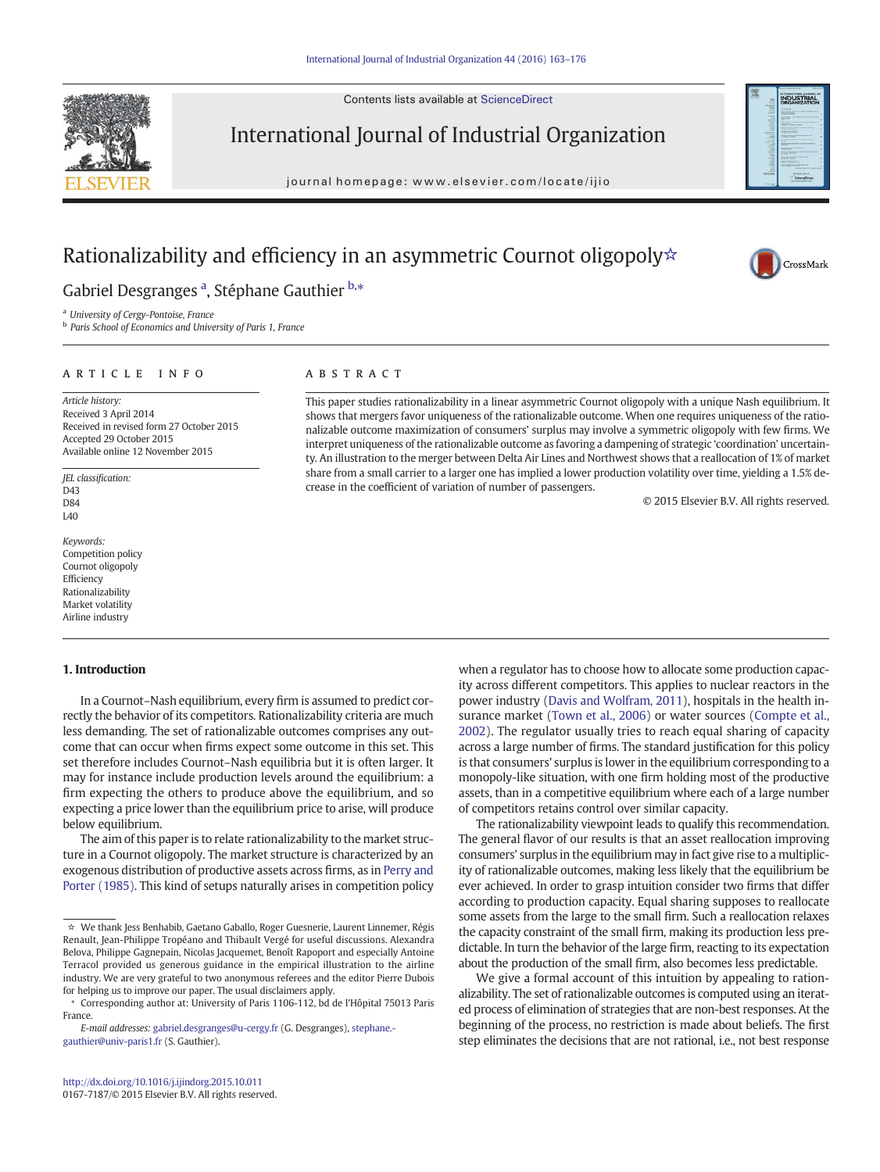Contents lists available at ScienceDirect



International Journal of Industrial Organization

journal homepage:<www.elsevier.com/locate/ijio>



# Rationalizability and efficiency in an asymmetric Cournot oligopoly☆



Gabriel Desgranges <sup>a</sup>, Stéphane Gauthier <sup>b,</sup>\*

<sup>a</sup> University of Cergy-Pontoise, France

**b** Paris School of Economics and University of Paris 1, France

# article info abstract

Article history: Received 3 April 2014 Received in revised form 27 October 2015 Accepted 29 October 2015 Available online 12 November 2015

JEL classification: D43 D84 L40

Keywords: Competition policy Cournot oligopoly **Efficiency** Rationalizability Market volatility Airline industry

# 1. Introduction

In a Cournot–Nash equilibrium, every firm is assumed to predict correctly the behavior of its competitors. Rationalizability criteria are much less demanding. The set of rationalizable outcomes comprises any outcome that can occur when firms expect some outcome in this set. This set therefore includes Cournot–Nash equilibria but it is often larger. It may for instance include production levels around the equilibrium: a firm expecting the others to produce above the equilibrium, and so expecting a price lower than the equilibrium price to arise, will produce below equilibrium.

The aim of this paper is to relate rationalizability to the market structure in a Cournot oligopoly. The market structure is characterized by an exogenous distribution of productive assets across firms, as in [Perry and](#page-13-0) [Porter \(1985\).](#page-13-0) This kind of setups naturally arises in competition policy

This paper studies rationalizability in a linear asymmetric Cournot oligopoly with a unique Nash equilibrium. It shows that mergers favor uniqueness of the rationalizable outcome. When one requires uniqueness of the rationalizable outcome maximization of consumers' surplus may involve a symmetric oligopoly with few firms. We interpret uniqueness of the rationalizable outcome as favoring a dampening of strategic 'coordination' uncertainty. An illustration to the merger between Delta Air Lines and Northwest shows that a reallocation of 1% of market share from a small carrier to a larger one has implied a lower production volatility over time, yielding a 1.5% decrease in the coefficient of variation of number of passengers.

© 2015 Elsevier B.V. All rights reserved.

when a regulator has to choose how to allocate some production capacity across different competitors. This applies to nuclear reactors in the power industry [\(Davis and Wolfram, 2011](#page-13-0)), hospitals in the health insurance market ([Town et al., 2006](#page-13-0)) or water sources ([Compte et al.,](#page-13-0) [2002\)](#page-13-0). The regulator usually tries to reach equal sharing of capacity across a large number of firms. The standard justification for this policy is that consumers' surplus is lower in the equilibrium corresponding to a monopoly-like situation, with one firm holding most of the productive assets, than in a competitive equilibrium where each of a large number of competitors retains control over similar capacity.

The rationalizability viewpoint leads to qualify this recommendation. The general flavor of our results is that an asset reallocation improving consumers' surplus in the equilibrium may in fact give rise to a multiplicity of rationalizable outcomes, making less likely that the equilibrium be ever achieved. In order to grasp intuition consider two firms that differ according to production capacity. Equal sharing supposes to reallocate some assets from the large to the small firm. Such a reallocation relaxes the capacity constraint of the small firm, making its production less predictable. In turn the behavior of the large firm, reacting to its expectation about the production of the small firm, also becomes less predictable.

We give a formal account of this intuition by appealing to rationalizability. The set of rationalizable outcomes is computed using an iterated process of elimination of strategies that are non-best responses. At the beginning of the process, no restriction is made about beliefs. The first step eliminates the decisions that are not rational, i.e., not best response

<sup>☆</sup> We thank Jess Benhabib, Gaetano Gaballo, Roger Guesnerie, Laurent Linnemer, Régis Renault, Jean-Philippe Tropéano and Thibault Vergé for useful discussions. Alexandra Belova, Philippe Gagnepain, Nicolas Jacquemet, Benoît Rapoport and especially Antoine Terracol provided us generous guidance in the empirical illustration to the airline industry. We are very grateful to two anonymous referees and the editor Pierre Dubois for helping us to improve our paper. The usual disclaimers apply.

<sup>⁎</sup> Corresponding author at: University of Paris 1106-112, bd de l'Hôpital 75013 Paris France.

E-mail addresses: gabriel.desgranges@u-cergy.fr (G. Desgranges), [stephane.](mailto:stephane.gauthier@univ-ris1.fr) [gauthier@univ-paris1.fr](mailto:stephane.gauthier@univ-ris1.fr) (S. Gauthier).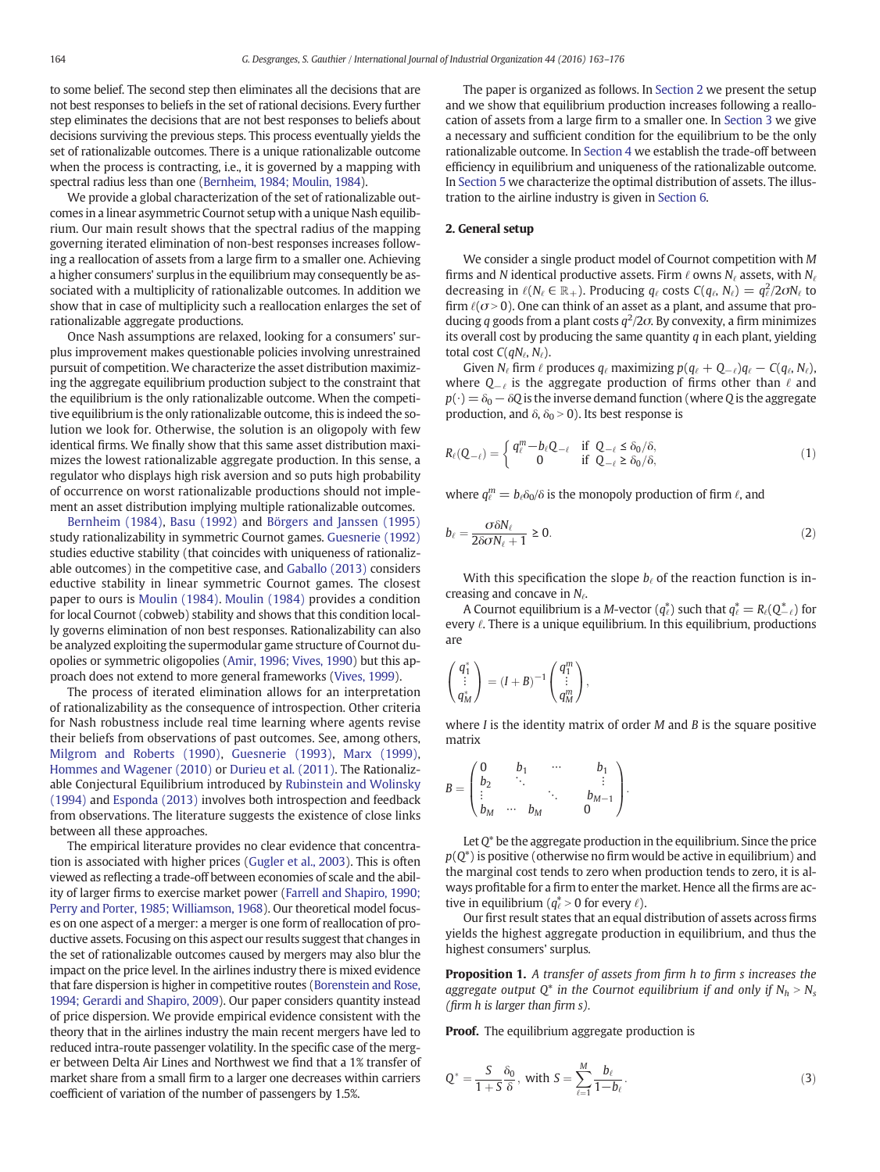<span id="page-1-0"></span>to some belief. The second step then eliminates all the decisions that are not best responses to beliefs in the set of rational decisions. Every further step eliminates the decisions that are not best responses to beliefs about decisions surviving the previous steps. This process eventually yields the set of rationalizable outcomes. There is a unique rationalizable outcome when the process is contracting, i.e., it is governed by a mapping with spectral radius less than one [\(Bernheim, 1984; Moulin, 1984](#page-13-0)).

We provide a global characterization of the set of rationalizable outcomes in a linear asymmetric Cournot setup with a unique Nash equilibrium. Our main result shows that the spectral radius of the mapping governing iterated elimination of non-best responses increases following a reallocation of assets from a large firm to a smaller one. Achieving a higher consumers' surplus in the equilibrium may consequently be associated with a multiplicity of rationalizable outcomes. In addition we show that in case of multiplicity such a reallocation enlarges the set of rationalizable aggregate productions.

Once Nash assumptions are relaxed, looking for a consumers' surplus improvement makes questionable policies involving unrestrained pursuit of competition. We characterize the asset distribution maximizing the aggregate equilibrium production subject to the constraint that the equilibrium is the only rationalizable outcome. When the competitive equilibrium is the only rationalizable outcome, this is indeed the solution we look for. Otherwise, the solution is an oligopoly with few identical firms. We finally show that this same asset distribution maximizes the lowest rationalizable aggregate production. In this sense, a regulator who displays high risk aversion and so puts high probability of occurrence on worst rationalizable productions should not implement an asset distribution implying multiple rationalizable outcomes.

[Bernheim \(1984\)](#page-13-0), [Basu \(1992\)](#page-13-0) and [Börgers and Janssen \(1995\)](#page-13-0) study rationalizability in symmetric Cournot games. [Guesnerie \(1992\)](#page-13-0) studies eductive stability (that coincides with uniqueness of rationalizable outcomes) in the competitive case, and [Gaballo \(2013\)](#page-13-0) considers eductive stability in linear symmetric Cournot games. The closest paper to ours is [Moulin \(1984\)](#page-13-0). [Moulin \(1984\)](#page-13-0) provides a condition for local Cournot (cobweb) stability and shows that this condition locally governs elimination of non best responses. Rationalizability can also be analyzed exploiting the supermodular game structure of Cournot duopolies or symmetric oligopolies [\(Amir, 1996; Vives, 1990\)](#page-13-0) but this approach does not extend to more general frameworks [\(Vives, 1999](#page-13-0)).

The process of iterated elimination allows for an interpretation of rationalizability as the consequence of introspection. Other criteria for Nash robustness include real time learning where agents revise their beliefs from observations of past outcomes. See, among others, [Milgrom and Roberts \(1990\)](#page-13-0), [Guesnerie \(1993\)](#page-13-0), [Marx \(1999\),](#page-13-0) [Hommes and Wagener \(2010\)](#page-13-0) or [Durieu et al. \(2011\).](#page-13-0) The Rationalizable Conjectural Equilibrium introduced by [Rubinstein and Wolinsky](#page-13-0) [\(1994\)](#page-13-0) and [Esponda \(2013\)](#page-13-0) involves both introspection and feedback from observations. The literature suggests the existence of close links between all these approaches.

The empirical literature provides no clear evidence that concentration is associated with higher prices [\(Gugler et al., 2003\)](#page-13-0). This is often viewed as reflecting a trade-off between economies of scale and the ability of larger firms to exercise market power [\(Farrell and Shapiro, 1990;](#page-13-0) [Perry and Porter, 1985; Williamson, 1968\)](#page-13-0). Our theoretical model focuses on one aspect of a merger: a merger is one form of reallocation of productive assets. Focusing on this aspect our results suggest that changes in the set of rationalizable outcomes caused by mergers may also blur the impact on the price level. In the airlines industry there is mixed evidence that fare dispersion is higher in competitive routes ([Borenstein and Rose,](#page-13-0) [1994; Gerardi and Shapiro, 2009\)](#page-13-0). Our paper considers quantity instead of price dispersion. We provide empirical evidence consistent with the theory that in the airlines industry the main recent mergers have led to reduced intra-route passenger volatility. In the specific case of the merger between Delta Air Lines and Northwest we find that a 1% transfer of market share from a small firm to a larger one decreases within carriers coefficient of variation of the number of passengers by 1.5%.

The paper is organized as follows. In Section 2 we present the setup and we show that equilibrium production increases following a reallocation of assets from a large firm to a smaller one. In [Section 3](#page-2-0) we give a necessary and sufficient condition for the equilibrium to be the only rationalizable outcome. In [Section 4](#page-3-0) we establish the trade-off between efficiency in equilibrium and uniqueness of the rationalizable outcome. In [Section 5](#page-3-0) we characterize the optimal distribution of assets. The illustration to the airline industry is given in [Section 6](#page-4-0).

# 2. General setup

We consider a single product model of Cournot competition with M firms and N identical productive assets. Firm  $\ell$  owns  $N_\ell$  assets, with  $N_\ell$ decreasing in  $\ell(N_\ell \in \mathbb{R}_+)$ . Producing  $q_\ell$  costs  $C(q_\ell, N_\ell) = q_\ell^2/2\sigma N_\ell$  to firm  $\ell(\sigma > 0)$ . One can think of an asset as a plant, and assume that producing q goods from a plant costs  $q^2/2\sigma$ . By convexity, a firm minimizes its overall cost by producing the same quantity  $q$  in each plant, yielding total cost  $C(qN_{\ell}, N_{\ell}).$ 

Given  $N_\ell$  firm  $\ell$  produces  $q_\ell$  maximizing  $p(q_\ell + Q_{-\ell})q_\ell - C(q_\ell, N_\ell)$ , where  $Q_{-\ell}$  is the aggregate production of firms other than  $\ell$  and  $p(\cdot) = \delta_0 - \delta Q$  is the inverse demand function (where Q is the aggregate production, and  $\delta$ ,  $\delta_0$  > 0). Its best response is

$$
R_{\ell}(Q_{-\ell}) = \begin{cases} q_{\ell}^{m} - b_{\ell}Q_{-\ell} & \text{if } Q_{-\ell} \le \delta_0/\delta, \\ 0 & \text{if } Q_{-\ell} \ge \delta_0/\delta, \end{cases}
$$
(1)

where  $q_{\ell}^{m} = b_{\ell} \delta_0 / \delta$  is the monopoly production of firm  $\ell$ , and

$$
b_{\ell} = \frac{\sigma \delta N_{\ell}}{2\delta \sigma N_{\ell} + 1} \ge 0. \tag{2}
$$

With this specification the slope  $b_{\ell}$  of the reaction function is increasing and concave in  $N_{\ell}$ .

A Cournot equilibrium is a M-vector  $(q_\ell^*)$  such that  $q_\ell^* = R_\ell(Q_{-\ell}^*)$  for every  $\ell$ . There is a unique equilibrium. In this equilibrium, productions are

$$
\begin{pmatrix} q_1^* \\ \vdots \\ q_M^* \end{pmatrix} = (I + B)^{-1} \begin{pmatrix} q_1^m \\ \vdots \\ q_M^m \end{pmatrix},
$$

where  $I$  is the identity matrix of order  $M$  and  $B$  is the square positive matrix

$$
B = \begin{pmatrix} 0 & b_1 & \cdots & b_1 \\ b_2 & \ddots & & \vdots \\ \vdots & & \ddots & b_{M-1} \\ b_M & \cdots & b_M & 0 \end{pmatrix}.
$$

Let  $Q^*$  be the aggregate production in the equilibrium. Since the price  $p(Q^*)$  is positive (otherwise no firm would be active in equilibrium) and the marginal cost tends to zero when production tends to zero, it is always profitable for a firm to enter the market. Hence all the firms are active in equilibrium ( $q_\ell^*$  > 0 for every  $\ell$ ).

Our first result states that an equal distribution of assets across firms yields the highest aggregate production in equilibrium, and thus the highest consumers' surplus.

**Proposition 1.** A transfer of assets from firm h to firm s increases the aggregate output Q\* in the Cournot equilibrium if and only if  $N_h > N_s$ (firm h is larger than firm s).

Proof. The equilibrium aggregate production is

$$
Q^* = \frac{S}{1+S} \frac{\delta_0}{\delta}, \text{ with } S = \sum_{\ell=1}^M \frac{b_\ell}{1-b_\ell}. \tag{3}
$$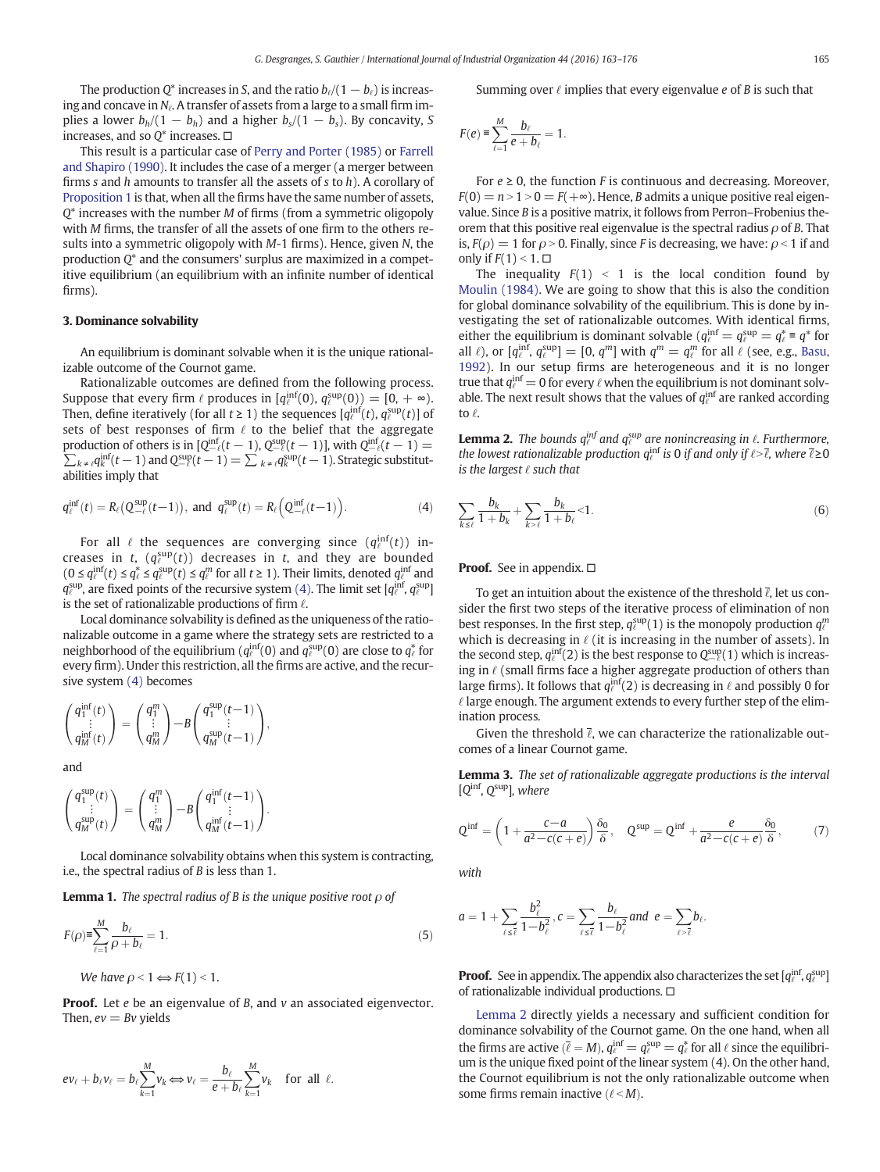<span id="page-2-0"></span>The production  $Q^*$  increases in S, and the ratio  $b_{\ell}/(1 - b_{\ell})$  is increasing and concave in  $N_{\ell}$ . A transfer of assets from a large to a small firm implies a lower  $b_h/(1 - b_h)$  and a higher  $b_s/(1 - b_s)$ . By concavity, S increases, and so  $Q^*$  increases.  $\square$ 

This result is a particular case of [Perry and Porter \(1985\)](#page-13-0) or [Farrell](#page-13-0) [and Shapiro \(1990\)](#page-13-0). It includes the case of a merger (a merger between firms  $s$  and  $h$  amounts to transfer all the assets of  $s$  to  $h$ ). A corollary of [Proposition 1](#page-1-0) is that, when all the firms have the same number of assets,  $Q^*$  increases with the number M of firms (from a symmetric oligopoly with M firms, the transfer of all the assets of one firm to the others results into a symmetric oligopoly with M-1 firms). Hence, given N, the production  $Q^*$  and the consumers' surplus are maximized in a competitive equilibrium (an equilibrium with an infinite number of identical firms).

# 3. Dominance solvability

An equilibrium is dominant solvable when it is the unique rationalizable outcome of the Cournot game.

Rationalizable outcomes are defined from the following process. Suppose that every firm  $\ell$  produces in  $[q_{\ell}^{\rm inf}(0), q_{\ell}^{\rm sup}(0)) = [0, +\infty)$ . Then, define iteratively (for all  $t \geq 1$ ) the sequences  $[q_{\ell}^{\rm inf}(t), q_{\ell}^{\rm sup}(t)]$  of sets of best responses of firm  $\ell$  to the belief that the aggregate production of others is in  $[Q_{-\ell}^{\text{inf}}(t-1), Q_{-\ell}^{\text{sup}}(t-1)]$ , with  $Q_{-\ell}^{\text{inf}}(t-1)$  =  $\sum_{k \neq \ell} q_k^{\text{inf}}(t-1)$  and  $Q_{-\ell}^{\text{sup}}(t-1) = \sum_{k \neq \ell} q_k^{\text{sup}}(t-1)$ . Strategic substitutabilities imply that

$$
q_{\ell}^{\inf}(t) = R_{\ell}(Q_{-\ell}^{\sup}(t-1)), \text{ and } q_{\ell}^{\sup}(t) = R_{\ell}\left(Q_{-\ell}^{\inf}(t-1)\right).
$$
 (4)

For all  $\ell$  the sequences are converging since  $(q_\ell^{\inf}(t))$  increases in t,  $(q_\ell^{\sup}(t))$  decreases in t, and they are bounded  $(0 \leq q_\ell^{\text{inf}}(t) \leq q_\ell^* \leq q_\ell^{\text{sup}}(t) \leq q_\ell^m$  for all  $t \geq 1$ ). Their limits, denoted  $q_\ell^{\text{inf}}$  and  $q_{\ell}^{\textrm{sup}}$ , are fixed points of the recursive system (4). The limit set [ $q_{\ell}^{\textrm{inf}}, q_{\ell}^{\textrm{sup}}$ ] is the set of rationalizable productions of firm  $\ell$ .

Local dominance solvability is defined as the uniqueness of the rationalizable outcome in a game where the strategy sets are restricted to a neighborhood of the equilibrium ( $q_{\ell}^{\rm inf}(0)$  and  $q_{\ell}^{\rm sup}(0)$  are close to  $q_{\ell}^*$  for every firm). Under this restriction, all the firms are active, and the recursive system (4) becomes

$$
\begin{pmatrix} q_1^{\text{inf}}(t) \\ \vdots \\ q_M^{\text{inf}}(t) \end{pmatrix} = \begin{pmatrix} q_1^m \\ \vdots \\ q_M^m \end{pmatrix} - B \begin{pmatrix} q_1^{\text{sup}}(t-1) \\ \vdots \\ q_M^{\text{sup}}(t-1) \end{pmatrix},
$$

and

$$
\begin{pmatrix} q_1^{\sup}(t) \\ \vdots \\ q_M^{\sup}(t) \end{pmatrix} = \begin{pmatrix} q_1^m \\ \vdots \\ q_M^m \end{pmatrix} - B \begin{pmatrix} q_1^{\inf}(t-1) \\ \vdots \\ q_M^{\inf}(t-1) \end{pmatrix}.
$$

Local dominance solvability obtains when this system is contracting, i.e., the spectral radius of  $B$  is less than 1.

**Lemma 1.** The spectral radius of B is the unique positive root  $\rho$  of

$$
F(\rho) \equiv \sum_{\ell=1}^{M} \frac{b_{\ell}}{\rho + b_{\ell}} = 1. \tag{5}
$$

We have  $\rho < 1 \Leftrightarrow F(1) < 1$ .

**Proof.** Let  $e$  be an eigenvalue of  $B$ , and  $v$  an associated eigenvector. Then,  $ev = Bv$  yields

$$
ev_{\ell} + b_{\ell}v_{\ell} = b_{\ell}\sum_{k=1}^{M}v_{k} \Longleftrightarrow v_{\ell} = \frac{b_{\ell}}{e+b_{\ell}}\sum_{k=1}^{M}v_{k} \text{ for all } \ell.
$$

Summing over  $\ell$  implies that every eigenvalue e of B is such that

$$
F(e) \equiv \sum_{\ell=1}^{M} \frac{b_{\ell}}{e+b_{\ell}} = 1.
$$

For  $e \ge 0$ , the function F is continuous and decreasing. Moreover,  $F(0) = n > 1 > 0 = F(+\infty)$ . Hence, B admits a unique positive real eigenvalue. Since B is a positive matrix, it follows from Perron–Frobenius theorem that this positive real eigenvalue is the spectral radius  $\rho$  of B. That is,  $F(\rho) = 1$  for  $\rho > 0$ . Finally, since F is decreasing, we have:  $\rho < 1$  if and only if  $F(1) < 1.$   $\Box$ 

The inequality  $F(1) < 1$  is the local condition found by [Moulin \(1984\).](#page-13-0) We are going to show that this is also the condition for global dominance solvability of the equilibrium. This is done by investigating the set of rationalizable outcomes. With identical firms, either the equilibrium is dominant solvable ( $q_{\ell}^{\text{inf}} = q_{\ell}^{\text{sup}} = q_{\ell}^* \equiv q^*$  for all  $\ell$ ), or  $[q_{\ell}^{\text{inf}}, q_{\ell}^{\text{sup}}] = [0, q^m]$  with  $q^m = q_{\ell}^m$  for all  $\ell$  (see, e.g., [Basu,](#page-13-0) [1992\)](#page-13-0). In our setup firms are heterogeneous and it is no longer true that  $q_\ell^{\text{inf}} = 0$  for every  $\ell$  when the equilibrium is not dominant solvable. The next result shows that the values of  $q_{\ell}^{\text{inf}}$  are ranked according to  $\ell$ .

**Lemma 2.** The bounds  $q_\ell^{inf}$  and  $q_\ell^{sup}$  are nonincreasing in  $\ell$ . Furthermore, the lowest rationalizable production  $q_\ell^{\rm inf}$  is 0 if and only if  $\ell\!>\!\overline{\ell}$ , where  $\overline{\ell}\!\ge\!0$ is the largest  $\ell$  such that

$$
\sum_{k \leq \ell} \frac{b_k}{1 + b_k} + \sum_{k > \ell} \frac{b_k}{1 + b_\ell} < 1. \tag{6}
$$

# **Proof.** See in appendix. □

To get an intuition about the existence of the threshold  $\bar{\ell}$ , let us consider the first two steps of the iterative process of elimination of non best responses. In the first step,  $q_{\ell}^{\sup}(1)$  is the monopoly production  $q_{\ell}^{m}$ which is decreasing in  $\ell$  (it is increasing in the number of assets). In the second step,  $q_{\ell}^{\text{inf}}(2)$  is the best response to  $Q_{-\ell}^{\text{sup}}(1)$  which is increasing in  $\ell$  (small firms face a higher aggregate production of others than large firms). It follows that  $q_{\ell}^{\inf} (2)$  is decreasing in  $\ell$  and possibly 0 for  $\ell$  large enough. The argument extends to every further step of the elimination process.

Given the threshold  $\bar{\ell}$ , we can characterize the rationalizable outcomes of a linear Cournot game.

Lemma 3. The set of rationalizable aggregate productions is the interval  $[Q<sup>inf</sup>, Q<sup>sup</sup>]$ , where

$$
Q^{\inf} = \left(1 + \frac{c-a}{a^2 - c(c+e)}\right) \frac{\delta_0}{\delta}, \quad Q^{\sup} = Q^{\inf} + \frac{e}{a^2 - c(c+e)} \frac{\delta_0}{\delta}, \tag{7}
$$

with

$$
a=1+\sum_{\ell\leq \overline{\ell}}\frac{b_{\ell}^2}{1-b_{\ell}^2}, c=\sum_{\ell\leq \overline{\ell}}\frac{b_{\ell}}{1-b_{\ell}^2}
$$
 and  $e=\sum_{\ell>\overline{\ell}}b_{\ell}.$ 

**Proof.** See in appendix. The appendix also characterizes the set  $[q_\ell^{\text{inf}}, q_\ell^{\text{sup}}]$ of rationalizable individual productions.  $\square$ 

Lemma 2 directly yields a necessary and sufficient condition for dominance solvability of the Cournot game. On the one hand, when all the firms are active  $(\bar{\ell} = M)$ ,  $q_{\ell}^{\text{inf}} = q_{\ell}^{\text{sup}} = q_{\ell}^*$  for all  $\ell$  since the equilibrium is the unique fixed point of the linear system (4). On the other hand, the Cournot equilibrium is not the only rationalizable outcome when some firms remain inactive  $(\ell < M)$ .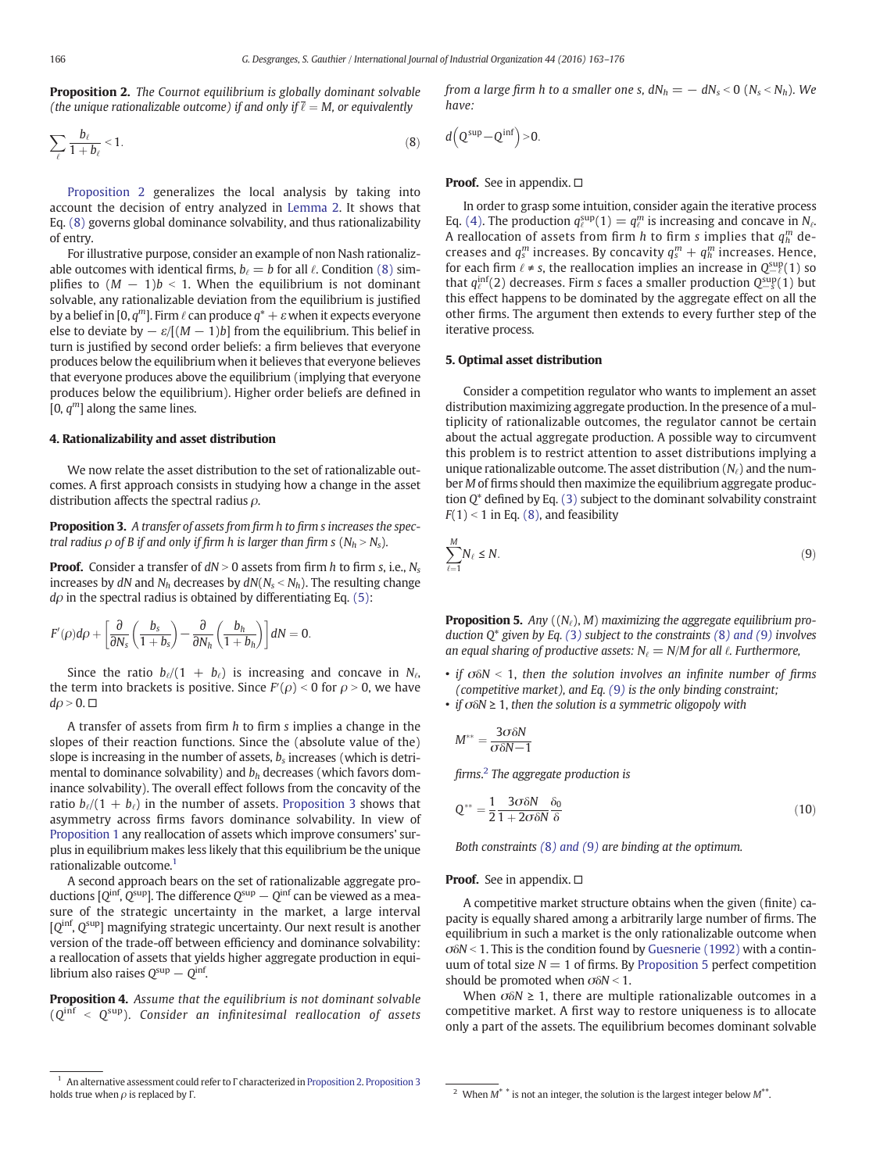<span id="page-3-0"></span>Proposition 2. The Cournot equilibrium is globally dominant solvable (the unique rationalizable outcome) if and only if  $\overline{\ell} = M$ , or equivalently

$$
\sum_{\ell} \frac{b_{\ell}}{1+b_{\ell}} < 1. \tag{8}
$$

Proposition 2 generalizes the local analysis by taking into account the decision of entry analyzed in [Lemma 2.](#page-2-0) It shows that Eq. (8) governs global dominance solvability, and thus rationalizability of entry.

For illustrative purpose, consider an example of non Nash rationalizable outcomes with identical firms,  $b_{\ell} = b$  for all  $\ell$ . Condition (8) simplifies to  $(M - 1)b < 1$ . When the equilibrium is not dominant solvable, any rationalizable deviation from the equilibrium is justified by a belief in [0,  $q^m$ ]. Firm  $\ell$  can produce  $q^* + \varepsilon$  when it expects everyone else to deviate by  $-\varepsilon/[(M-1)b]$  from the equilibrium. This belief in turn is justified by second order beliefs: a firm believes that everyone produces below the equilibrium when it believes that everyone believes that everyone produces above the equilibrium (implying that everyone produces below the equilibrium). Higher order beliefs are defined in [0,  $q^m$ ] along the same lines.

# 4. Rationalizability and asset distribution

We now relate the asset distribution to the set of rationalizable outcomes. A first approach consists in studying how a change in the asset distribution affects the spectral radius  $\rho$ .

Proposition 3. A transfer of assets from firm h to firm s increases the spectral radius  $\rho$  of B if and only if firm h is larger than firm s ( $N_h > N_s$ ).

**Proof.** Consider a transfer of  $dN > 0$  assets from firm h to firm s, i.e.,  $N_s$ increases by dN and  $N_h$  decreases by  $dN(N_s \le N_h)$ . The resulting change  $d\rho$  in the spectral radius is obtained by differentiating Eq. [\(5\)](#page-2-0):

$$
F'(\rho)d\rho + \left[\frac{\partial}{\partial N_s}\left(\frac{b_s}{1+b_s}\right) - \frac{\partial}{\partial N_h}\left(\frac{b_h}{1+b_h}\right)\right]dN = 0.
$$

Since the ratio  $b_{\ell}/(1 + b_{\ell})$  is increasing and concave in  $N_{\ell}$ , the term into brackets is positive. Since  $F'(\rho) < 0$  for  $\rho > 0$ , we have  $d\rho > 0.$   $\Box$ 

A transfer of assets from firm h to firm s implies a change in the slopes of their reaction functions. Since the (absolute value of the) slope is increasing in the number of assets,  $b_s$  increases (which is detrimental to dominance solvability) and  $b<sub>h</sub>$  decreases (which favors dominance solvability). The overall effect follows from the concavity of the ratio  $b_{\ell}/(1 + b_{\ell})$  in the number of assets. Proposition 3 shows that asymmetry across firms favors dominance solvability. In view of [Proposition 1](#page-1-0) any reallocation of assets which improve consumers' surplus in equilibrium makes less likely that this equilibrium be the unique rationalizable outcome.<sup>1</sup>

A second approach bears on the set of rationalizable aggregate productions  $[Q^{\text{inf}}, Q^{\text{sup}}]$ . The difference  $Q^{\text{sup}} - Q^{\text{inf}}$  can be viewed as a measure of the strategic uncertainty in the market, a large interval  $[Q^{\text{inf}}, Q^{\text{sup}}]$  magnifying strategic uncertainty. Our next result is another version of the trade-off between efficiency and dominance solvability: a reallocation of assets that yields higher aggregate production in equilibrium also raises  $Q^{\text{sup}} - Q^{\text{inf}}$ .

Proposition 4. Assume that the equilibrium is not dominant solvable  $(Q<sup>inf</sup> < Q<sup>sup</sup>)$ . Consider an infinitesimal reallocation of assets from a large firm h to a smaller one s,  $dN_h = -dN_s < 0$  ( $N_s < N_h$ ). We have:

$$
d\left(Q^{\text{sup}}-Q^{\text{inf}}\right)>0.
$$

# Proof. See in appendix. □

In order to grasp some intuition, consider again the iterative process Eq. [\(4\).](#page-2-0) The production  $q_{\ell}^{\sup}(1) = q_{\ell}^{m}$  is increasing and concave in  $N_{\ell}$ . A reallocation of assets from firm h to firm s implies that  $q_h^m$  decreases and  $q_s^m$  increases. By concavity  $q_s^m + q_h^m$  increases. Hence, for each firm  $\ell \neq s$ , the reallocation implies an increase in  $Q_{-\ell}^{\text{sup}}(1)$  so that  $q_{\ell}^{\text{inf}}(2)$  decreases. Firm s faces a smaller production  $Q_{-s}^{\text{sup}}(1)$  but this effect happens to be dominated by the aggregate effect on all the other firms. The argument then extends to every further step of the iterative process.

# 5. Optimal asset distribution

Consider a competition regulator who wants to implement an asset distribution maximizing aggregate production. In the presence of a multiplicity of rationalizable outcomes, the regulator cannot be certain about the actual aggregate production. A possible way to circumvent this problem is to restrict attention to asset distributions implying a unique rationalizable outcome. The asset distribution  $(N_e)$  and the number M of firms should then maximize the equilibrium aggregate production  $Q^*$  defined by Eq. [\(3\)](#page-1-0) subject to the dominant solvability constraint  $F(1) < 1$  in Eq. (8), and feasibility

$$
\sum_{\ell=1}^{M} N_{\ell} \le N. \tag{9}
$$

**Proposition 5.** Any  $((N_{\ell}), M)$  maximizing the aggregate equilibrium production  $Q^*$  given by Eq. ([3](#page-1-0)) subject to the constraints (8) and (9) involves an equal sharing of productive assets:  $N_{\ell} = N/M$  for all  $\ell$ . Furthermore,

- if  $\sigma \delta N < 1$ , then the solution involves an infinite number of firms (competitive market), and Eq. (9) is the only binding constraint;
- if  $\sigma$  $\delta$ N  $\geq$  1, then the solution is a symmetric oligopoly with

$$
M^{**} = \frac{3\sigma\delta N}{\sigma\delta N - 1}
$$

firms.<sup>2</sup> The aggregate production is

$$
Q^{**} = \frac{1}{2} \frac{3\sigma\delta N}{1 + 2\sigma\delta N} \frac{\delta_0}{\delta}
$$
\n(10)

Both constraints (8) and (9) are binding at the optimum.

# Proof. See in appendix. □

A competitive market structure obtains when the given (finite) capacity is equally shared among a arbitrarily large number of firms. The equilibrium in such a market is the only rationalizable outcome when  $\sigma$ δN < 1. This is the condition found by [Guesnerie \(1992\)](#page-13-0) with a continuum of total size  $N = 1$  of firms. By Proposition 5 perfect competition should be promoted when  $\sigma \delta N < 1$ .

When  $\sigma \delta N \geq 1$ , there are multiple rationalizable outcomes in a competitive market. A first way to restore uniqueness is to allocate only a part of the assets. The equilibrium becomes dominant solvable

<sup>&</sup>lt;sup>1</sup> An alternative assessment could refer to Γ characterized in Proposition 2. Proposition 3 holds true when ρ is replaced by Γ. 2 When M<sup> $*$ </sup> is not an integer, the solution is the largest integer below M<sup>\*</sup> $*$ .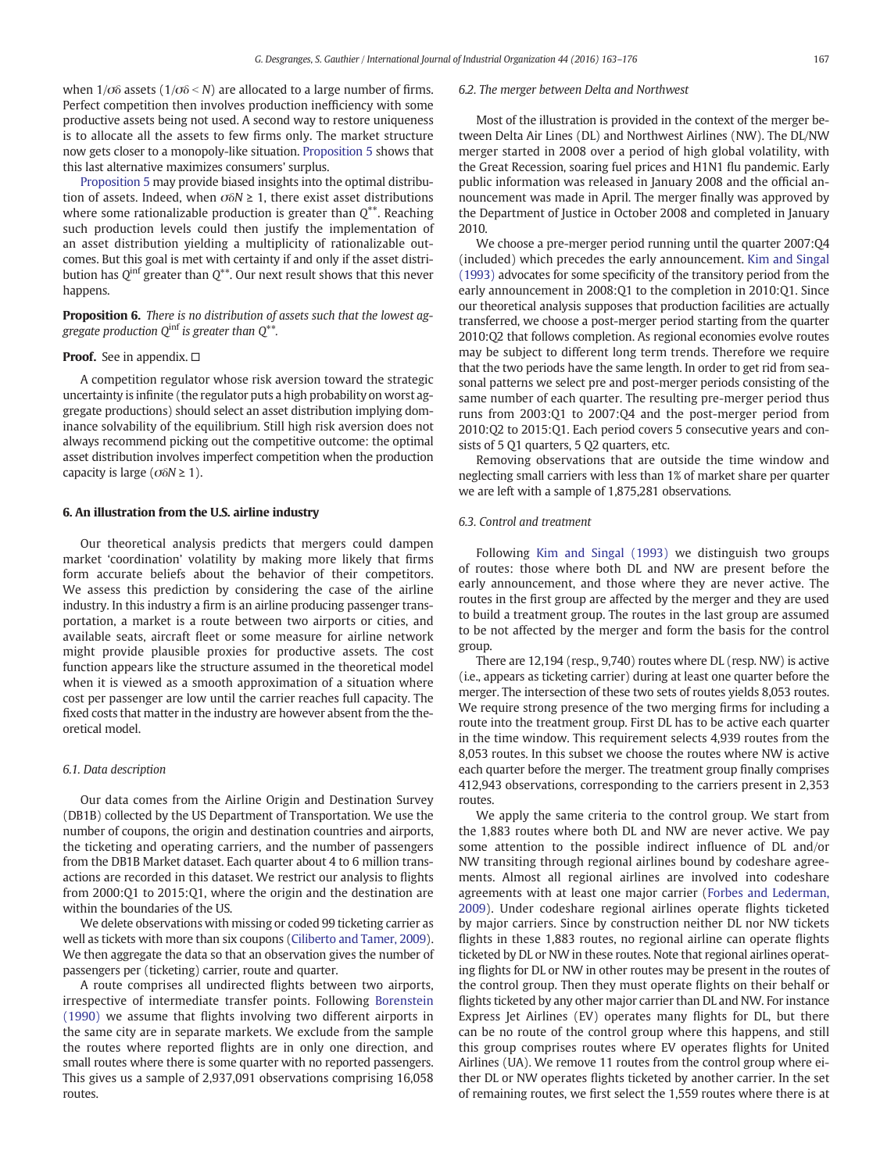<span id="page-4-0"></span>when  $1/\sigma\delta$  assets ( $1/\sigma\delta$  < N) are allocated to a large number of firms. Perfect competition then involves production inefficiency with some productive assets being not used. A second way to restore uniqueness is to allocate all the assets to few firms only. The market structure now gets closer to a monopoly-like situation. [Proposition 5](#page-3-0) shows that this last alternative maximizes consumers' surplus.

[Proposition 5](#page-3-0) may provide biased insights into the optimal distribution of assets. Indeed, when  $\sigma \delta N \geq 1$ , there exist asset distributions where some rationalizable production is greater than  $Q^{**}$ . Reaching such production levels could then justify the implementation of an asset distribution yielding a multiplicity of rationalizable outcomes. But this goal is met with certainty if and only if the asset distribution has  $Q^{inf}$  greater than  $Q^{**}$ . Our next result shows that this never happens.

Proposition 6. There is no distribution of assets such that the lowest aggregate production  $Q^{\text{inf}}$  is greater than  $Q^{\text{**}}$ .

# **Proof.** See in appendix. □

A competition regulator whose risk aversion toward the strategic uncertainty is infinite (the regulator puts a high probability on worst aggregate productions) should select an asset distribution implying dominance solvability of the equilibrium. Still high risk aversion does not always recommend picking out the competitive outcome: the optimal asset distribution involves imperfect competition when the production capacity is large ( $\sigma \delta N \ge 1$ ).

# 6. An illustration from the U.S. airline industry

Our theoretical analysis predicts that mergers could dampen market 'coordination' volatility by making more likely that firms form accurate beliefs about the behavior of their competitors. We assess this prediction by considering the case of the airline industry. In this industry a firm is an airline producing passenger transportation, a market is a route between two airports or cities, and available seats, aircraft fleet or some measure for airline network might provide plausible proxies for productive assets. The cost function appears like the structure assumed in the theoretical model when it is viewed as a smooth approximation of a situation where cost per passenger are low until the carrier reaches full capacity. The fixed costs that matter in the industry are however absent from the theoretical model.

# 6.1. Data description

Our data comes from the Airline Origin and Destination Survey (DB1B) collected by the US Department of Transportation. We use the number of coupons, the origin and destination countries and airports, the ticketing and operating carriers, and the number of passengers from the DB1B Market dataset. Each quarter about 4 to 6 million transactions are recorded in this dataset. We restrict our analysis to flights from 2000:Q1 to 2015:Q1, where the origin and the destination are within the boundaries of the US.

We delete observations with missing or coded 99 ticketing carrier as well as tickets with more than six coupons [\(Ciliberto and Tamer, 2009](#page-13-0)). We then aggregate the data so that an observation gives the number of passengers per (ticketing) carrier, route and quarter.

A route comprises all undirected flights between two airports, irrespective of intermediate transfer points. Following [Borenstein](#page-13-0) [\(1990\)](#page-13-0) we assume that flights involving two different airports in the same city are in separate markets. We exclude from the sample the routes where reported flights are in only one direction, and small routes where there is some quarter with no reported passengers. This gives us a sample of 2,937,091 observations comprising 16,058 routes.

#### 6.2. The merger between Delta and Northwest

Most of the illustration is provided in the context of the merger between Delta Air Lines (DL) and Northwest Airlines (NW). The DL/NW merger started in 2008 over a period of high global volatility, with the Great Recession, soaring fuel prices and H1N1 flu pandemic. Early public information was released in January 2008 and the official announcement was made in April. The merger finally was approved by the Department of Justice in October 2008 and completed in January 2010.

We choose a pre-merger period running until the quarter 2007:Q4 (included) which precedes the early announcement. [Kim and Singal](#page-13-0) [\(1993\)](#page-13-0) advocates for some specificity of the transitory period from the early announcement in 2008:Q1 to the completion in 2010:Q1. Since our theoretical analysis supposes that production facilities are actually transferred, we choose a post-merger period starting from the quarter 2010:Q2 that follows completion. As regional economies evolve routes may be subject to different long term trends. Therefore we require that the two periods have the same length. In order to get rid from seasonal patterns we select pre and post-merger periods consisting of the same number of each quarter. The resulting pre-merger period thus runs from 2003:Q1 to 2007:Q4 and the post-merger period from 2010:Q2 to 2015:Q1. Each period covers 5 consecutive years and consists of 5 Q1 quarters, 5 Q2 quarters, etc.

Removing observations that are outside the time window and neglecting small carriers with less than 1% of market share per quarter we are left with a sample of 1,875,281 observations.

#### 6.3. Control and treatment

Following [Kim and Singal \(1993\)](#page-13-0) we distinguish two groups of routes: those where both DL and NW are present before the early announcement, and those where they are never active. The routes in the first group are affected by the merger and they are used to build a treatment group. The routes in the last group are assumed to be not affected by the merger and form the basis for the control group.

There are 12,194 (resp., 9,740) routes where DL (resp. NW) is active (i.e., appears as ticketing carrier) during at least one quarter before the merger. The intersection of these two sets of routes yields 8,053 routes. We require strong presence of the two merging firms for including a route into the treatment group. First DL has to be active each quarter in the time window. This requirement selects 4,939 routes from the 8,053 routes. In this subset we choose the routes where NW is active each quarter before the merger. The treatment group finally comprises 412,943 observations, corresponding to the carriers present in 2,353 routes.

We apply the same criteria to the control group. We start from the 1,883 routes where both DL and NW are never active. We pay some attention to the possible indirect influence of DL and/or NW transiting through regional airlines bound by codeshare agreements. Almost all regional airlines are involved into codeshare agreements with at least one major carrier ([Forbes and Lederman,](#page-13-0) [2009\)](#page-13-0). Under codeshare regional airlines operate flights ticketed by major carriers. Since by construction neither DL nor NW tickets flights in these 1,883 routes, no regional airline can operate flights ticketed by DL or NW in these routes. Note that regional airlines operating flights for DL or NW in other routes may be present in the routes of the control group. Then they must operate flights on their behalf or flights ticketed by any other major carrier than DL and NW. For instance Express Jet Airlines (EV) operates many flights for DL, but there can be no route of the control group where this happens, and still this group comprises routes where EV operates flights for United Airlines (UA). We remove 11 routes from the control group where either DL or NW operates flights ticketed by another carrier. In the set of remaining routes, we first select the 1,559 routes where there is at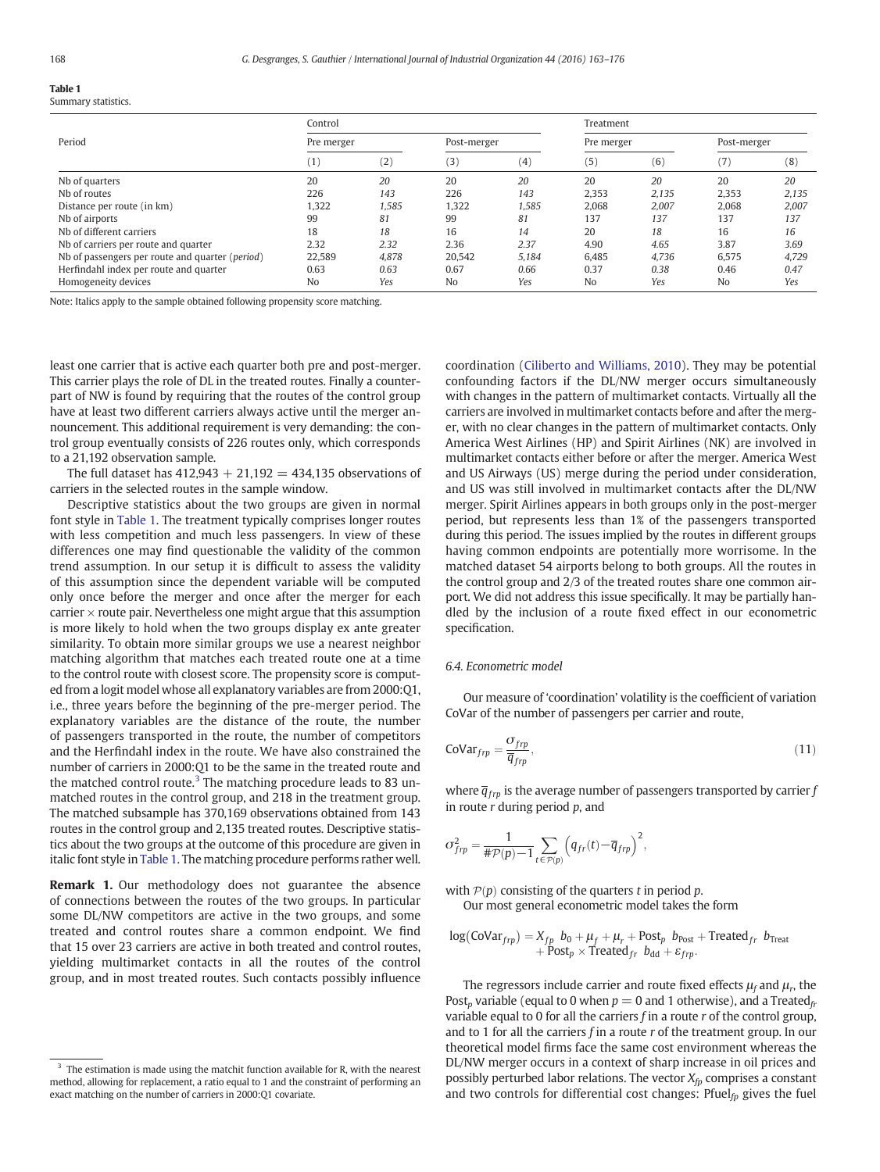Summary statistics.

|                                                 | Control        |                   |                |       | Treatment      |       |                |       |
|-------------------------------------------------|----------------|-------------------|----------------|-------|----------------|-------|----------------|-------|
| Period                                          | Pre merger     |                   | Post-merger    |       | Pre merger     |       | Post-merger    |       |
|                                                 | (1)            | $\left( 2\right)$ | (3)            | (4)   | (5)            | (6)   | (7)            | (8)   |
| Nb of quarters                                  | 20             | 20                | 20             | 20    | 20             | 20    | 20             | 20    |
| Nb of routes                                    | 226            | 143               | 226            | 143   | 2,353          | 2,135 | 2,353          | 2,135 |
| Distance per route (in km)                      | 1.322          | 1,585             | 1.322          | 1,585 | 2.068          | 2,007 | 2,068          | 2,007 |
| Nb of airports                                  | 99             | 81                | 99             | 81    | 137            | 137   | 137            | 137   |
| Nb of different carriers                        | 18             | 18                | 16             | 14    | 20             | 18    | 16             | 16    |
| Nb of carriers per route and quarter            | 2.32           | 2.32              | 2.36           | 2.37  | 4.90           | 4.65  | 3.87           | 3.69  |
| Nb of passengers per route and quarter (period) | 22.589         | 4,878             | 20.542         | 5.184 | 6.485          | 4,736 | 6.575          | 4.729 |
| Herfindahl index per route and quarter          | 0.63           | 0.63              | 0.67           | 0.66  | 0.37           | 0.38  | 0.46           | 0.47  |
| Homogeneity devices                             | N <sub>0</sub> | Yes               | N <sub>0</sub> | Yes   | N <sub>o</sub> | Yes   | N <sub>0</sub> | Yes   |

Note: Italics apply to the sample obtained following propensity score matching.

least one carrier that is active each quarter both pre and post-merger. This carrier plays the role of DL in the treated routes. Finally a counterpart of NW is found by requiring that the routes of the control group have at least two different carriers always active until the merger announcement. This additional requirement is very demanding: the control group eventually consists of 226 routes only, which corresponds to a 21,192 observation sample.

The full dataset has  $412,943 + 21,192 = 434,135$  observations of carriers in the selected routes in the sample window.

Descriptive statistics about the two groups are given in normal font style in Table 1. The treatment typically comprises longer routes with less competition and much less passengers. In view of these differences one may find questionable the validity of the common trend assumption. In our setup it is difficult to assess the validity of this assumption since the dependent variable will be computed only once before the merger and once after the merger for each carrier  $\times$  route pair. Nevertheless one might argue that this assumption is more likely to hold when the two groups display ex ante greater similarity. To obtain more similar groups we use a nearest neighbor matching algorithm that matches each treated route one at a time to the control route with closest score. The propensity score is computed from a logit model whose all explanatory variables are from 2000:Q1, i.e., three years before the beginning of the pre-merger period. The explanatory variables are the distance of the route, the number of passengers transported in the route, the number of competitors and the Herfindahl index in the route. We have also constrained the number of carriers in 2000:Q1 to be the same in the treated route and the matched control route. $3$  The matching procedure leads to 83 unmatched routes in the control group, and 218 in the treatment group. The matched subsample has 370,169 observations obtained from 143 routes in the control group and 2,135 treated routes. Descriptive statistics about the two groups at the outcome of this procedure are given in italic font style in Table 1. The matching procedure performs rather well.

**Remark 1.** Our methodology does not guarantee the absence of connections between the routes of the two groups. In particular some DL/NW competitors are active in the two groups, and some treated and control routes share a common endpoint. We find that 15 over 23 carriers are active in both treated and control routes, yielding multimarket contacts in all the routes of the control group, and in most treated routes. Such contacts possibly influence coordination ([Ciliberto and Williams, 2010](#page-13-0)). They may be potential confounding factors if the DL/NW merger occurs simultaneously with changes in the pattern of multimarket contacts. Virtually all the carriers are involved in multimarket contacts before and after the merger, with no clear changes in the pattern of multimarket contacts. Only America West Airlines (HP) and Spirit Airlines (NK) are involved in multimarket contacts either before or after the merger. America West and US Airways (US) merge during the period under consideration, and US was still involved in multimarket contacts after the DL/NW merger. Spirit Airlines appears in both groups only in the post-merger period, but represents less than 1% of the passengers transported during this period. The issues implied by the routes in different groups having common endpoints are potentially more worrisome. In the matched dataset 54 airports belong to both groups. All the routes in the control group and 2/3 of the treated routes share one common airport. We did not address this issue specifically. It may be partially handled by the inclusion of a route fixed effect in our econometric specification.

# 6.4. Econometric model

Our measure of 'coordination' volatility is the coefficient of variation CoVar of the number of passengers per carrier and route,

$$
Covarfrp = \frac{\sigma_{frp}}{\overline{q}_{frp}},\tag{11}
$$

where  $\overline{q}_{frp}$  is the average number of passengers transported by carrier f in route  $r$  during period  $p$ , and

$$
\sigma_{frp}^2 = \frac{1}{\# \mathcal{P}(p) - 1} \sum_{t \in \mathcal{P}(p)} \left( q_{fr}(t) - \overline{q}_{frp} \right)^2,
$$

with  $P(p)$  consisting of the quarters t in period p.

Our most general econometric model takes the form

$$
log(CoVarfrp) = Xfp b0 + \muf + \mur + Postp bpost + Treatedfr bTreat
$$
  
+ Post<sub>p</sub> × Treated<sub>fr</sub> b<sub>dd</sub> +  $\varepsilon$ <sub>frp</sub>.

The regressors include carrier and route fixed effects  $\mu_f$  and  $\mu_r$ , the Post<sub>n</sub> variable (equal to 0 when  $p = 0$  and 1 otherwise), and a Treated<sub>fr</sub> variable equal to 0 for all the carriers  $f$  in a route  $r$  of the control group, and to 1 for all the carriers  $f$  in a route  $r$  of the treatment group. In our theoretical model firms face the same cost environment whereas the DL/NW merger occurs in a context of sharp increase in oil prices and possibly perturbed labor relations. The vector  $X_{fp}$  comprises a constant and two controls for differential cost changes:  $Pfuel<sub>fp</sub>$  gives the fuel

<sup>&</sup>lt;sup>3</sup> The estimation is made using the matchit function available for R, with the nearest method, allowing for replacement, a ratio equal to 1 and the constraint of performing an exact matching on the number of carriers in 2000:Q1 covariate.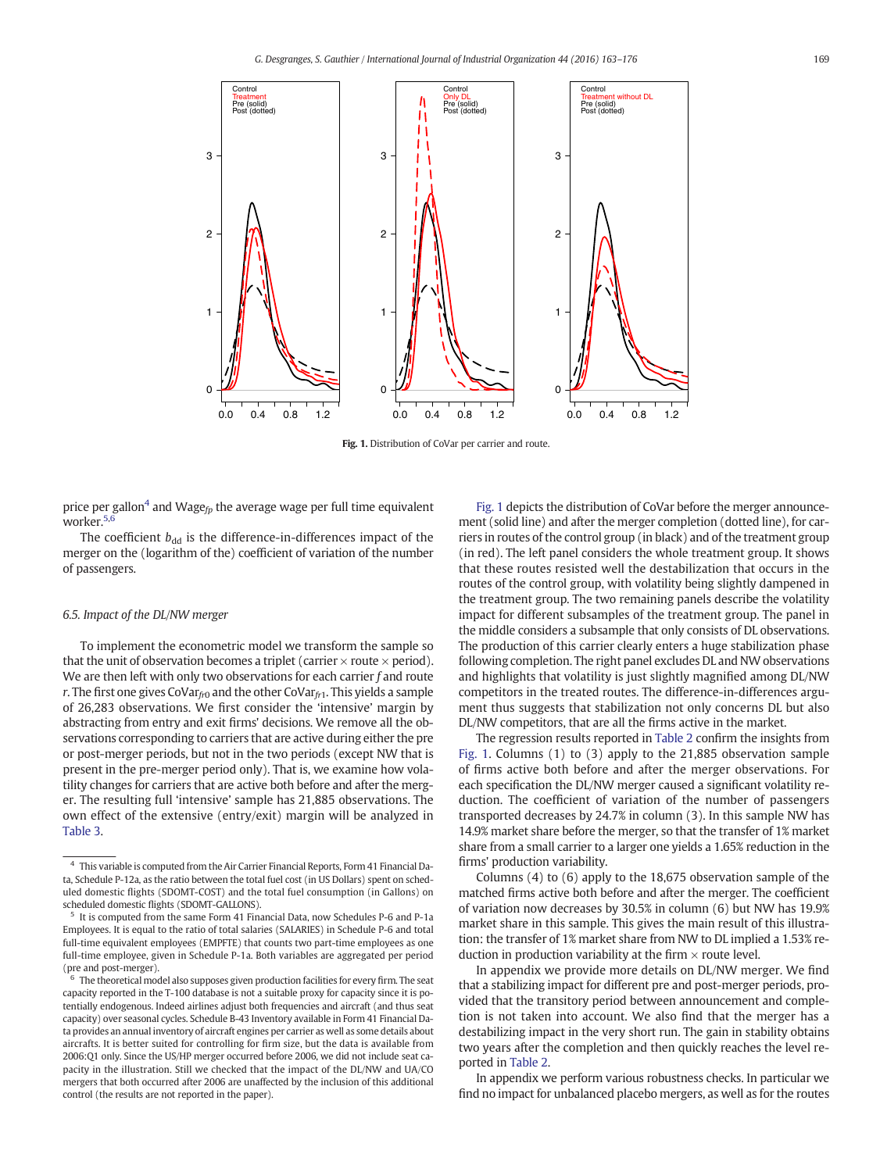

Fig. 1. Distribution of CoVar per carrier and route.

price per gallon<sup>4</sup> and Wage<sub>fp</sub> the average wage per full time equivalent worker.5,6

The coefficient  $b_{dd}$  is the difference-in-differences impact of the merger on the (logarithm of the) coefficient of variation of the number of passengers.

# 6.5. Impact of the DL/NW merger

To implement the econometric model we transform the sample so that the unit of observation becomes a triplet (carrier  $\times$  route  $\times$  period). We are then left with only two observations for each carrier f and route r. The first one gives CoVar $_{60}$  and the other CoVar $_{61}$ . This yields a sample of 26,283 observations. We first consider the 'intensive' margin by abstracting from entry and exit firms' decisions. We remove all the observations corresponding to carriers that are active during either the pre or post-merger periods, but not in the two periods (except NW that is present in the pre-merger period only). That is, we examine how volatility changes for carriers that are active both before and after the merger. The resulting full 'intensive' sample has 21,885 observations. The own effect of the extensive (entry/exit) margin will be analyzed in [Table 3](#page-8-0).

Fig. 1 depicts the distribution of CoVar before the merger announcement (solid line) and after the merger completion (dotted line), for carriers in routes of the control group (in black) and of the treatment group (in red). The left panel considers the whole treatment group. It shows that these routes resisted well the destabilization that occurs in the routes of the control group, with volatility being slightly dampened in the treatment group. The two remaining panels describe the volatility impact for different subsamples of the treatment group. The panel in the middle considers a subsample that only consists of DL observations. The production of this carrier clearly enters a huge stabilization phase following completion. The right panel excludes DL and NW observations and highlights that volatility is just slightly magnified among DL/NW competitors in the treated routes. The difference-in-differences argument thus suggests that stabilization not only concerns DL but also DL/NW competitors, that are all the firms active in the market.

The regression results reported in [Table 2](#page-7-0) confirm the insights from Fig. 1. Columns (1) to (3) apply to the 21,885 observation sample of firms active both before and after the merger observations. For each specification the DL/NW merger caused a significant volatility reduction. The coefficient of variation of the number of passengers transported decreases by 24.7% in column (3). In this sample NW has 14.9% market share before the merger, so that the transfer of 1% market share from a small carrier to a larger one yields a 1.65% reduction in the firms' production variability.

Columns (4) to (6) apply to the 18,675 observation sample of the matched firms active both before and after the merger. The coefficient of variation now decreases by 30.5% in column (6) but NW has 19.9% market share in this sample. This gives the main result of this illustration: the transfer of 1% market share from NW to DL implied a 1.53% reduction in production variability at the firm  $\times$  route level.

In appendix we provide more details on DL/NW merger. We find that a stabilizing impact for different pre and post-merger periods, provided that the transitory period between announcement and completion is not taken into account. We also find that the merger has a destabilizing impact in the very short run. The gain in stability obtains two years after the completion and then quickly reaches the level reported in [Table 2.](#page-7-0)

In appendix we perform various robustness checks. In particular we find no impact for unbalanced placebo mergers, as well as for the routes

<sup>4</sup> This variable is computed from the Air Carrier Financial Reports, Form 41 Financial Data, Schedule P-12a, as the ratio between the total fuel cost (in US Dollars) spent on scheduled domestic flights (SDOMT-COST) and the total fuel consumption (in Gallons) on scheduled domestic flights (SDOMT-GALLONS).

<sup>5</sup> It is computed from the same Form 41 Financial Data, now Schedules P-6 and P-1a Employees. It is equal to the ratio of total salaries (SALARIES) in Schedule P-6 and total full-time equivalent employees (EMPFTE) that counts two part-time employees as one full-time employee, given in Schedule P-1a. Both variables are aggregated per period (pre and post-merger).

 $6$  The theoretical model also supposes given production facilities for every firm. The seat capacity reported in the T-100 database is not a suitable proxy for capacity since it is potentially endogenous. Indeed airlines adjust both frequencies and aircraft (and thus seat capacity) over seasonal cycles. Schedule B-43 Inventory available in Form 41 Financial Data provides an annual inventory of aircraft engines per carrier as well as some details about aircrafts. It is better suited for controlling for firm size, but the data is available from 2006:Q1 only. Since the US/HP merger occurred before 2006, we did not include seat capacity in the illustration. Still we checked that the impact of the DL/NW and UA/CO mergers that both occurred after 2006 are unaffected by the inclusion of this additional control (the results are not reported in the paper).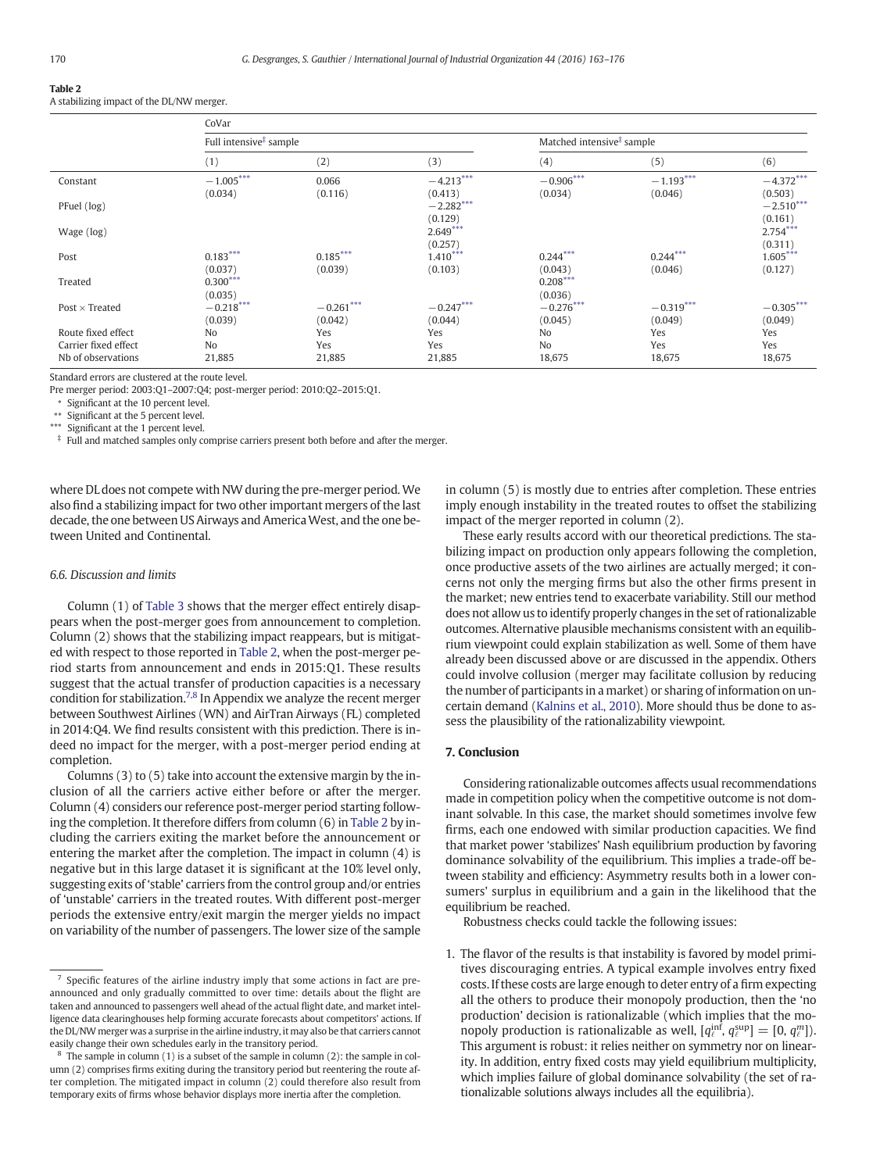<span id="page-7-0"></span>A stabilizing impact of the DL/NW merger.

|                       | CoVar                              |             |             |                                       |             |             |  |
|-----------------------|------------------------------------|-------------|-------------|---------------------------------------|-------------|-------------|--|
|                       | Full intensive <sup>#</sup> sample |             |             | Matched intensive <sup>‡</sup> sample |             |             |  |
|                       | (1)                                | (2)         | (3)         | (4)                                   | (5)         | (6)         |  |
| Constant              | $-1.005***$                        | 0.066       | $-4.213***$ | $-0.906***$                           | $-1.193***$ | $-4.372***$ |  |
|                       | (0.034)                            | (0.116)     | (0.413)     | (0.034)                               | (0.046)     | (0.503)     |  |
| PFuel (log)           |                                    |             | $-2.282***$ |                                       |             | $-2.510***$ |  |
|                       |                                    |             | (0.129)     |                                       |             | (0.161)     |  |
| Wage (log)            |                                    |             | $2.649***$  |                                       |             | $2.754***$  |  |
|                       |                                    |             | (0.257)     |                                       |             | (0.311)     |  |
| Post                  | $0.183***$                         | $0.185***$  | $1.410***$  | $0.244***$                            | $0.244***$  | $1.605***$  |  |
|                       | (0.037)                            | (0.039)     | (0.103)     | (0.043)                               | (0.046)     | (0.127)     |  |
| Treated               | $0.300***$                         |             |             | $0.208***$                            |             |             |  |
|                       | (0.035)                            |             |             | (0.036)                               |             |             |  |
| Post $\times$ Treated | $-0.218***$                        | $-0.261***$ | $-0.247***$ | $-0.276***$                           | $-0.319***$ | $-0.305***$ |  |
|                       | (0.039)                            | (0.042)     | (0.044)     | (0.045)                               | (0.049)     | (0.049)     |  |
| Route fixed effect    | N <sub>o</sub>                     | Yes         | Yes         | N <sub>o</sub>                        | Yes         | Yes         |  |
| Carrier fixed effect  | N <sub>0</sub>                     | Yes         | Yes         | N <sub>o</sub>                        | Yes         | Yes         |  |
| Nb of observations    | 21,885                             | 21,885      | 21,885      | 18,675                                | 18,675      | 18,675      |  |

Standard errors are clustered at the route level.

Pre merger period: 2003:Q1–2007:Q4; post-merger period: 2010:Q2–2015:Q1.

Significant at the 10 percent level.

⁎⁎ Significant at the 5 percent level.

\*\*\* Significant at the 1 percent level.

‡ Full and matched samples only comprise carriers present both before and after the merger.

where DL does not compete with NW during the pre-merger period. We also find a stabilizing impact for two other important mergers of the last decade, the one between US Airways and America West, and the one between United and Continental.

# 6.6. Discussion and limits

Column (1) of [Table 3](#page-8-0) shows that the merger effect entirely disappears when the post-merger goes from announcement to completion. Column (2) shows that the stabilizing impact reappears, but is mitigated with respect to those reported in Table 2, when the post-merger period starts from announcement and ends in 2015:Q1. These results suggest that the actual transfer of production capacities is a necessary condition for stabilization.<sup>7,8</sup> In Appendix we analyze the recent merger between Southwest Airlines (WN) and AirTran Airways (FL) completed in 2014:Q4. We find results consistent with this prediction. There is indeed no impact for the merger, with a post-merger period ending at completion.

Columns (3) to (5) take into account the extensive margin by the inclusion of all the carriers active either before or after the merger. Column (4) considers our reference post-merger period starting following the completion. It therefore differs from column (6) in Table 2 by including the carriers exiting the market before the announcement or entering the market after the completion. The impact in column (4) is negative but in this large dataset it is significant at the 10% level only, suggesting exits of 'stable' carriers from the control group and/or entries of 'unstable' carriers in the treated routes. With different post-merger periods the extensive entry/exit margin the merger yields no impact on variability of the number of passengers. The lower size of the sample in column (5) is mostly due to entries after completion. These entries imply enough instability in the treated routes to offset the stabilizing impact of the merger reported in column (2).

These early results accord with our theoretical predictions. The stabilizing impact on production only appears following the completion, once productive assets of the two airlines are actually merged; it concerns not only the merging firms but also the other firms present in the market; new entries tend to exacerbate variability. Still our method does not allow us to identify properly changes in the set of rationalizable outcomes. Alternative plausible mechanisms consistent with an equilibrium viewpoint could explain stabilization as well. Some of them have already been discussed above or are discussed in the appendix. Others could involve collusion (merger may facilitate collusion by reducing the number of participants in a market) or sharing of information on uncertain demand [\(Kalnins et al., 2010](#page-13-0)). More should thus be done to assess the plausibility of the rationalizability viewpoint.

# 7. Conclusion

Considering rationalizable outcomes affects usual recommendations made in competition policy when the competitive outcome is not dominant solvable. In this case, the market should sometimes involve few firms, each one endowed with similar production capacities. We find that market power 'stabilizes' Nash equilibrium production by favoring dominance solvability of the equilibrium. This implies a trade-off between stability and efficiency: Asymmetry results both in a lower consumers' surplus in equilibrium and a gain in the likelihood that the equilibrium be reached.

Robustness checks could tackle the following issues:

1. The flavor of the results is that instability is favored by model primitives discouraging entries. A typical example involves entry fixed costs. If these costs are large enough to deter entry of a firm expecting all the others to produce their monopoly production, then the 'no production' decision is rationalizable (which implies that the monopoly production is rationalizable as well,  $[q_{\ell}^{\text{inf}}, q_{\ell}^{\text{sup}}] = [0, q_{\ell}^m]$ ). This argument is robust: it relies neither on symmetry nor on linearity. In addition, entry fixed costs may yield equilibrium multiplicity, which implies failure of global dominance solvability (the set of rationalizable solutions always includes all the equilibria).

 $7$  Specific features of the airline industry imply that some actions in fact are preannounced and only gradually committed to over time: details about the flight are taken and announced to passengers well ahead of the actual flight date, and market intelligence data clearinghouses help forming accurate forecasts about competitors' actions. If the DL/NW merger was a surprise in the airline industry, it may also be that carriers cannot easily change their own schedules early in the transitory period.

 $8$  The sample in column (1) is a subset of the sample in column (2): the sample in column (2) comprises firms exiting during the transitory period but reentering the route after completion. The mitigated impact in column (2) could therefore also result from temporary exits of firms whose behavior displays more inertia after the completion.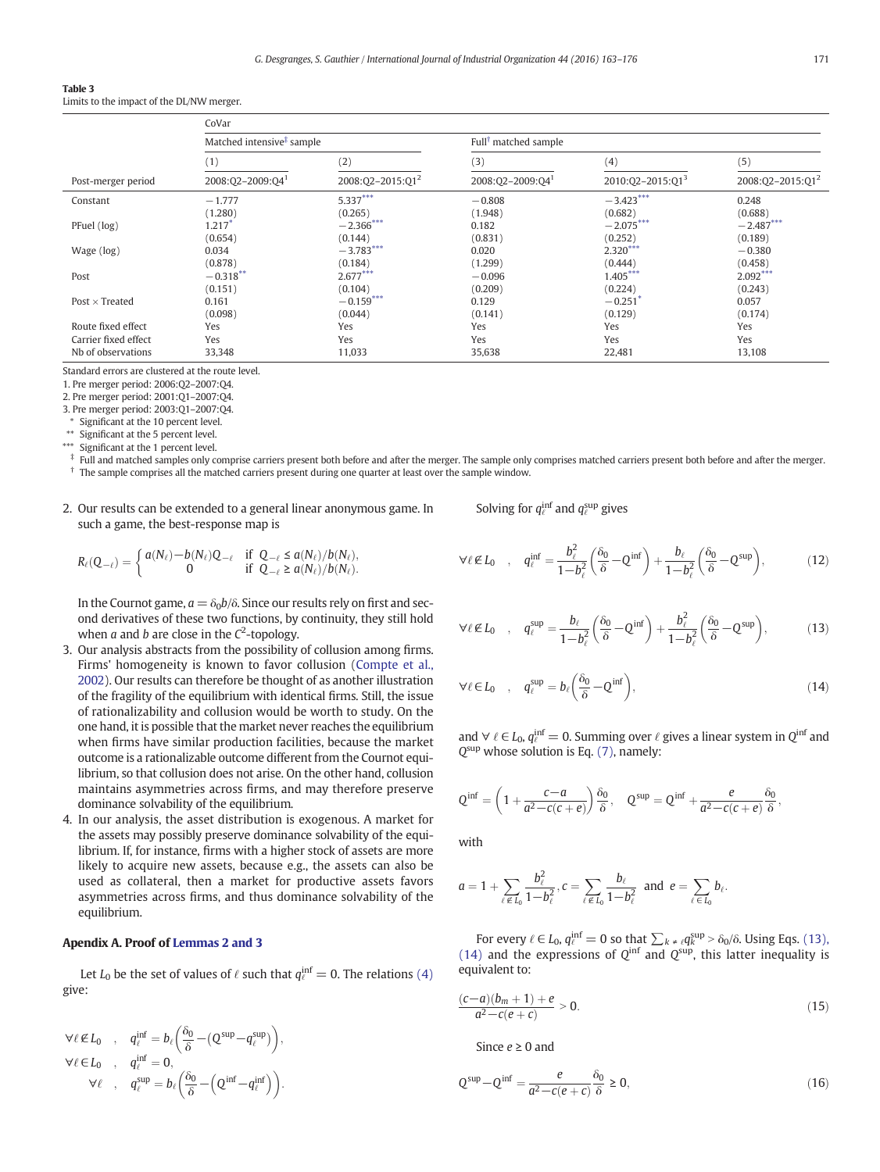<span id="page-8-0"></span>Limits to the impact of the DL/NW merger.

|                       | CoVar                                 |                              |                                  |                              |                              |  |  |
|-----------------------|---------------------------------------|------------------------------|----------------------------------|------------------------------|------------------------------|--|--|
|                       | Matched intensive <sup>‡</sup> sample |                              | Full <sup>†</sup> matched sample |                              |                              |  |  |
|                       | (1)                                   | (2)                          | (3)                              | (4)                          | (5)                          |  |  |
| Post-merger period    | 2008:Q2-2009:Q41                      | 2008:02-2015:01 <sup>2</sup> | 2008:02-2009:041                 | 2010:02-2015:01 <sup>3</sup> | 2008:Q2-2015:Q1 <sup>2</sup> |  |  |
| Constant              | $-1.777$                              | 5.337***                     | $-0.808$                         | $-3.423***$                  | 0.248                        |  |  |
|                       | (1.280)                               | (0.265)                      | (1.948)                          | (0.682)                      | (0.688)                      |  |  |
| PFuel (log)           | 1.217                                 | $-2.366***$                  | 0.182                            | $-2.075***$                  | $-2.487***$                  |  |  |
|                       | (0.654)                               | (0.144)                      | (0.831)                          | (0.252)                      | (0.189)                      |  |  |
| Wage (log)            | 0.034                                 | $-3.783***$                  | 0.020                            | $2.320***$                   | $-0.380$                     |  |  |
|                       | (0.878)                               | (0.184)                      | (1.299)                          | (0.444)                      | (0.458)                      |  |  |
| Post                  | $-0.318**$                            | $2.677***$                   | $-0.096$                         | $1.405***$                   | $2.092***$                   |  |  |
|                       | (0.151)                               | (0.104)                      | (0.209)                          | (0.224)                      | (0.243)                      |  |  |
| Post $\times$ Treated | 0.161                                 | $-0.159***$                  | 0.129                            | $-0.251$                     | 0.057                        |  |  |
|                       | (0.098)                               | (0.044)                      | (0.141)                          | (0.129)                      | (0.174)                      |  |  |
| Route fixed effect    | Yes                                   | Yes                          | Yes                              | Yes                          | Yes                          |  |  |
| Carrier fixed effect  | Yes                                   | Yes                          | Yes                              | Yes                          | Yes                          |  |  |
| Nb of observations    | 33,348                                | 11,033                       | 35,638                           | 22,481                       | 13,108                       |  |  |

Standard errors are clustered at the route level.

1. Pre merger period: 2006:Q2–2007:Q4.

2. Pre merger period: 2001:Q1–2007:Q4.

3. Pre merger period: 2003:Q1–2007:Q4.

⁎ Significant at the 10 percent level.

Significant at the 5 percent level.

\*\*\* Significant at the 1 percent level.

ſ

 $*$  Full and matched samples only comprise carriers present both before and after the merger. The sample only comprises matched carriers present both before and after the merger. † The sample comprises all the matched carriers present during one quarter at least over the sample window.

2. Our results can be extended to a general linear anonymous game. In such a game, the best-response map is

In the Cournot game,  $a = \delta_0 b / \delta$ . Since our results rely on first and second derivatives of these two functions, by continuity, they still hold

3. Our analysis abstracts from the possibility of collusion among firms. Firms' homogeneity is known to favor collusion [\(Compte et al.,](#page-13-0) [2002\)](#page-13-0). Our results can therefore be thought of as another illustration of the fragility of the equilibrium with identical firms. Still, the issue of rationalizability and collusion would be worth to study. On the one hand, it is possible that the market never reaches the equilibrium when firms have similar production facilities, because the market outcome is a rationalizable outcome different from the Cournot equilibrium, so that collusion does not arise. On the other hand, collusion maintains asymmetries across firms, and may therefore preserve

4. In our analysis, the asset distribution is exogenous. A market for the assets may possibly preserve dominance solvability of the equilibrium. If, for instance, firms with a higher stock of assets are more likely to acquire new assets, because e.g., the assets can also be used as collateral, then a market for productive assets favors asymmetries across firms, and thus dominance solvability of the

Let  $L_0$  be the set of values of  $\ell$  such that  $q_\ell^{\text{inf}} = 0$ . The relations [\(4\)](#page-2-0)

 $R_{\ell}(Q_{-\ell}) = \begin{cases} a(N_{\ell}) - b(N_{\ell})Q_{-\ell} & \text{if } Q_{-\ell} \le a(N_{\ell})/b(N_{\ell}), \\ 0 & \text{if } Q_{-\ell} \ge a(N_{\ell})/b(N_{\ell}). \end{cases}$ 

when *a* and *b* are close in the  $C^2$ -topology.

dominance solvability of the equilibrium.

Apendix A. Proof of [Lemmas 2 and 3](#page-2-0)

 $\forall \ell \notin L_0$ ,  $q_{\ell}^{\text{inf}} = b_{\ell} \left( \frac{\delta_0}{\delta} - \left( Q^{\text{sup}} - q_{\ell}^{\text{sup}} \right) \right),$ 

 $\forall \ell \quad , \quad q_{\ell}^{\textrm{sup}} = b_{\ell} \bigg( \frac{\delta_0}{\delta} - \left( \mathcal{Q}^{\textrm{inf}} \!-\! q_{\ell}^{\textrm{inf}} \right) \bigg).$ 

equilibrium.

 $\forall \ell \in L_0$ ,  $q_{\ell}^{\text{inf}} = 0$ ,

give:

Solving for 
$$
q_{\ell}^{\text{inf}}
$$
 and  $q_{\ell}^{\text{sup}}$  gives

$$
\forall \ell \in L_0 \quad , \quad q_{\ell}^{\inf} = \frac{b_{\ell}^2}{1 - b_{\ell}^2} \left( \frac{\delta_0}{\delta} - Q^{\inf} \right) + \frac{b_{\ell}}{1 - b_{\ell}^2} \left( \frac{\delta_0}{\delta} - Q^{\sup} \right), \tag{12}
$$

$$
\forall \ell \in L_0 \quad , \quad q_{\ell}^{\sup} = \frac{b_{\ell}}{1 - b_{\ell}^2} \left( \frac{\delta_0}{\delta} - Q^{\inf} \right) + \frac{b_{\ell}^2}{1 - b_{\ell}^2} \left( \frac{\delta_0}{\delta} - Q^{\sup} \right), \tag{13}
$$

$$
\forall \ell \in L_0 \quad , \quad q_{\ell}^{\text{sup}} = b_{\ell} \left( \frac{\delta_0}{\delta} - Q^{\text{inf}} \right), \tag{14}
$$

and ∀  $\ell \in L_0$ ,  $q_{\ell}^{\text{inf}} = 0$ . Summing over  $\ell$  gives a linear system in  $Q^{\text{inf}}$  and  $Q^{\text{sup}}$  whose solution is Eq. [\(7\)](#page-2-0), namely:

$$
Q^{\inf}=\left(1+\frac{c\!-\!a}{a^2\!-\!c(c+e)}\right)\!\frac{\delta_0}{\delta},\quad Q^{\sup}=Q^{\inf}+\frac{e}{a^2\!-\!c(c+e)}\frac{\delta_0}{\delta},
$$

with

$$
a = 1 + \sum_{\ell \in L_0} \frac{b_{\ell}^2}{1 - b_{\ell}^2}, c = \sum_{\ell \in L_0} \frac{b_{\ell}}{1 - b_{\ell}^2}
$$
 and  $e = \sum_{\ell \in L_0} b_{\ell}.$ 

For every  $\ell \in L_0$ ,  $q_{\ell}^{\text{inf}} = 0$  so that  $\sum_{k \neq \ell} q_k^{\text{sup}} > \delta_0/ \delta$ . Using Eqs. (13), (14) and the expressions of  $Q^{\text{inf}}$  and  $Q^{\text{sup}}$ , this latter inequality is equivalent to:

$$
\frac{(c-a)(b_m+1)+e}{a^2-c(e+c)} > 0.
$$
\n(15)

Since  $e \geq 0$  and

$$
Q^{\text{sup}} - Q^{\text{inf}} = \frac{e}{a^2 - c(e + c)} \frac{\delta_0}{\delta} \ge 0,
$$
\n(16)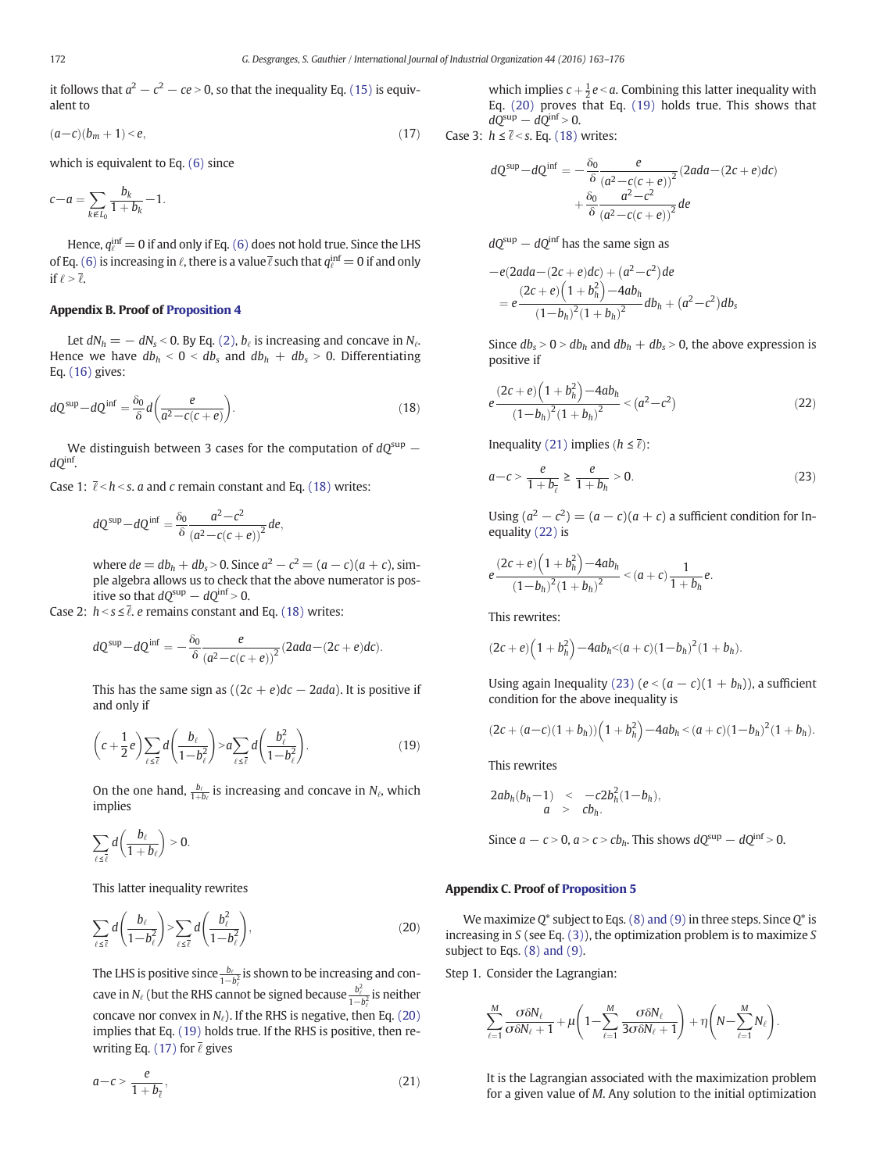it follows that  $a^2 - c^2 - ce > 0$ , so that the inequality Eq. [\(15\)](#page-8-0) is equivalent to

$$
(a-c)(b_m+1)<\mathbf{e},\tag{17}
$$

which is equivalent to Eq. [\(6\)](#page-2-0) since

$$
c-a=\sum_{k\in L_0}\frac{b_k}{1+b_k}-1.
$$

Hence,  $q_{\ell}^{\rm inf}=0$  if and only if Eq. [\(6\)](#page-2-0) does not hold true. Since the LHS of Eq. [\(6\)](#page-2-0) is increasing in  $\ell$ , there is a value  $\overline{\ell}$  such that  $q_\ell^{\rm inf}=0$  if and only if  $\ell > \overline{\ell}$ .

# Appendix B. Proof of [Proposition 4](#page-3-0)

Let  $dN_h = -dN_s < 0$ . By Eq. [\(2\)](#page-1-0),  $b_\ell$  is increasing and concave in  $N_\ell$ . Hence we have  $db_h < 0 < db_s$  and  $db_h + db_s > 0$ . Differentiating Eq. [\(16\)](#page-8-0) gives:

$$
dQ^{\text{sup}} - dQ^{\text{inf}} = \frac{\delta_0}{\delta} d\left(\frac{e}{a^2 - c(c + e)}\right).
$$
 (18)

We distinguish between 3 cases for the computation of  $dQ^{sup}$  – dQinf.

Case 1:  $\bar{l}$  < h < s. a and c remain constant and Eq. (18) writes:

$$
dQ^{\text{sup}} - dQ^{\text{inf}} = \frac{\delta_0}{\delta} \frac{a^2 - c^2}{(a^2 - c(c + e))^2} de,
$$

where  $de = db_h + db_s > 0$ . Since  $a^2 - c^2 = (a - c)(a + c)$ , simple algebra allows us to check that the above numerator is positive so that  $dQ^{\text{sup}} - dQ^{\text{inf}} > 0$ .

Case 2:  $h < s \leq \overline{\ell}$ . e remains constant and Eq. (18) writes:

$$
dQ^{\text{sup}} - dQ^{\text{inf}} = -\frac{\delta_0}{\delta} \frac{e}{(a^2 - c(c + e))^2} (2ada - (2c + e)dc).
$$

This has the same sign as  $((2c + e)dc - 2ada)$ . It is positive if and only if

$$
\left(c+\frac{1}{2}e\right)\sum_{\ell\leq\bar{\ell}}d\left(\frac{b_{\ell}}{1-b_{\ell}^{2}}\right)>a\sum_{\ell\leq\bar{\ell}}d\left(\frac{b_{\ell}^{2}}{1-b_{\ell}^{2}}\right).
$$
\n<sup>(19)</sup>

On the one hand,  $\frac{b_{\ell}}{1+b_{\ell}}$  is increasing and concave in  $N_{\ell}$ , which implies

$$
\sum_{\ell\leq \overline{\ell}}d\bigg(\frac{b_{\ell}}{1+b_{\ell}}\bigg)>0.
$$

This latter inequality rewrites

$$
\sum_{\ell \le \bar{\ell}} d\left(\frac{b_{\ell}}{1 - b_{\ell}^2}\right) > \sum_{\ell \le \bar{\ell}} d\left(\frac{b_{\ell}^2}{1 - b_{\ell}^2}\right),\tag{20}
$$

The LHS is positive since  $\frac{b_{\ell}}{1-b_{\ell}^2}$  is shown to be increasing and concave in  $N_{\ell}$  (but the RHS cannot be signed because  $\frac{b_{\ell}^2}{1-b_{\ell}^2}$  is neither concave nor convex in  $N_{\ell}$ ). If the RHS is negative, then Eq. (20) implies that Eq. (19) holds true. If the RHS is positive, then rewriting Eq. (17) for  $\bar{\ell}$  gives

$$
a-c>\frac{e}{1+b_{\overline{\ell}}},\qquad(21)
$$

which implies  $c + \frac{1}{2}e < a$ . Combining this latter inequality with Eq. (20) proves that Eq. (19) holds true. This shows that  $dQ^{\text{sup}} - dQ^{\text{inf}} > 0.$ 

Case 3:  $h \leq \overline{\ell} < s$ . Eq. (18) writes:

$$
dQ^{\text{sup}} - dQ^{\text{inf}} = -\frac{\delta_0}{\delta} \frac{e}{(a^2 - c(c + e))^2} (2ada - (2c + e)dc)
$$

$$
+ \frac{\delta_0}{\delta} \frac{a^2 - c^2}{(a^2 - c(c + e))^2} de
$$

 $dQ^{\text{sup}} - dQ^{\text{inf}}$  has the same sign as

$$
-e(2ada - (2c + e)dc) + (a2 - c2)de
$$
  
=  $e \frac{(2c + e) (1 + bh2) - 4abh}{(1 - bh)2 (1 + bh)2} dbh + (a2 - c2)dbs$ 

Since  $db_s > 0 > db_h$  and  $db_h + db_s > 0$ , the above expression is positive if

$$
e \frac{(2c+e)\left(1+b_h^2\right)-4ab_h}{\left(1-b_h\right)^2\left(1+b_h\right)^2} < \left(a^2-c^2\right) \tag{22}
$$

Inequality (21) implies  $(h \leq \overline{\ell})$ :

$$
a-c > \frac{e}{1+b_{\bar{\ell}}} \ge \frac{e}{1+b_h} > 0.
$$
 (23)

Using  $(a^2 - c^2) = (a - c)(a + c)$  a sufficient condition for Inequality (22) is

$$
e\frac{(2c+e)\left(1+b_h^2\right)-4ab_h}{\left(1-b_h\right)^2\left(1+b_h\right)^2}\lt (a+c)\frac{1}{1+b_h}e.
$$

This rewrites:

$$
(2c + e)\left(1 + b_h^2\right) - 4ab_h < (a + c)(1 - b_h)^2 (1 + b_h).
$$

Using again Inequality (23) ( $e < (a - c)(1 + b<sub>h</sub>)$ ), a sufficient condition for the above inequality is

$$
(2c + (a-c)(1+b_h))\left(1+b_h^2\right) - 4ab_h < (a+c)(1-b_h)^2(1+b_h).
$$

This rewrites

$$
2ab_h(b_h-1) < -c2b_h^2(1-b_h),
$$
  
  $a > cb_h.$ 

Since  $a - c > 0$ ,  $a > c > cb<sub>b</sub>$ . This shows  $dQ<sup>sup</sup> - dQ<sup>inf</sup> > 0$ .

# Appendix C. Proof of [Proposition 5](#page-3-0)

We maximize  $Q^*$  subject to Eqs. [\(8\) and \(9\)](#page-3-0) in three steps. Since  $Q^*$  is increasing in  $S$  (see Eq.  $(3)$ ), the optimization problem is to maximize  $S$ subject to Eqs. [\(8\) and \(9\).](#page-3-0)

Step 1. Consider the Lagrangian:

$$
\sum_{\ell=1}^M \frac{\sigma \delta N_\ell}{\sigma \delta N_\ell + 1} + \mu \left(1 - \sum_{\ell=1}^M \frac{\sigma \delta N_\ell}{3 \sigma \delta N_\ell + 1}\right) + \eta \left(N - \sum_{\ell=1}^M N_\ell\right).
$$

It is the Lagrangian associated with the maximization problem for a given value of M. Any solution to the initial optimization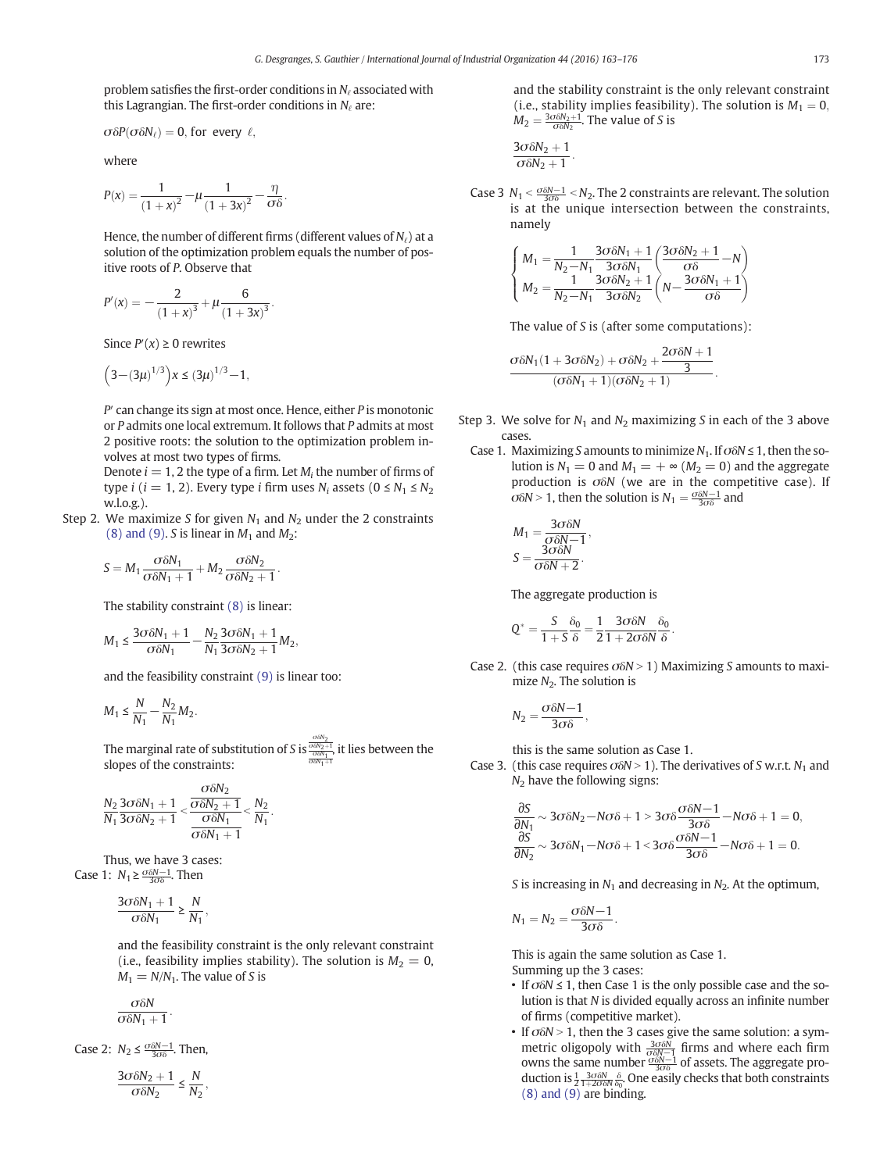problem satisfies the first-order conditions in  $N_\ell$  associated with this Lagrangian. The first-order conditions in  $N_{\ell}$  are:

$$
\sigma \delta P(\sigma \delta N_{\ell}) = 0, \text{ for every } \ell,
$$

where

$$
P(x) = \frac{1}{(1+x)^2} - \mu \frac{1}{(1+3x)^2} - \frac{\eta}{\sigma \delta}.
$$

Hence, the number of different firms (different values of  $N_{\ell}$ ) at a solution of the optimization problem equals the number of positive roots of P. Observe that

$$
P'(x) = -\frac{2}{(1+x)^3} + \mu \frac{6}{(1+3x)^3}.
$$

Since  $P'(x) \geq 0$  rewrites

$$
(3\!-\!(3\mu)^{1/3}\Big)x\le (3\mu)^{1/3}\!-\!1,
$$

P′ can change its sign at most once. Hence, either P is monotonic or P admits one local extremum. It follows that P admits at most 2 positive roots: the solution to the optimization problem involves at most two types of firms.

Denote  $i = 1, 2$  the type of a firm. Let  $M_i$  the number of firms of type  $i$  ( $i = 1, 2$ ). Every type  $i$  firm uses  $N_i$  assets ( $0 \le N_1 \le N_2$ ) w.l.o.g.).

Step 2. We maximize S for given  $N_1$  and  $N_2$  under the 2 constraints [\(8\) and \(9\).](#page-3-0) S is linear in  $M_1$  and  $M_2$ :

$$
S=M_1\frac{\sigma\delta N_1}{\sigma\delta N_1+1}+M_2\frac{\sigma\delta N_2}{\sigma\delta N_2+1}.
$$

The stability constraint [\(8\)](#page-3-0) is linear:

$$
M_1 \leq \frac{3\sigma\delta N_1 + 1}{\sigma\delta N_1} - \frac{N_2}{N_1} \frac{3\sigma\delta N_1 + 1}{3\sigma\delta N_2 + 1} M_2,
$$

and the feasibility constraint [\(9\)](#page-3-0) is linear too:

$$
M_1\leq \frac{N}{N_1}-\frac{N_2}{N_1}M_2.
$$

The marginal rate of substitution of S is  $\frac{\frac{\partial \delta N_2}{\partial \delta N_1+1}}{\frac{\partial \delta N_1+1}{\partial \delta N_1}}$  it lies between the σδ $N_1+1$ slopes of the constraints:

$$
\frac{N_2}{N_1}\frac{3\sigma \delta N_1+1}{3\sigma \delta N_2+1} < \frac{\frac{\sigma \delta N_2}{\sigma \delta N_2+1}}{\frac{\sigma \delta N_1}{\sigma \delta N_1+1}} < \frac{N_2}{N_1}.
$$

Thus, we have 3 cases: Case 1:  $N_1 \geq \frac{\sigma \delta N - 1}{3 \sigma \delta}$ . Then

$$
\frac{3\sigma\delta N_1+1}{\sigma\delta N_1}\geq \frac{N}{N_1},
$$

and the feasibility constraint is the only relevant constraint (i.e., feasibility implies stability). The solution is  $M_2 = 0$ ,  $M_1 = N/N_1$ . The value of S is

$$
\frac{\sigma \delta N}{\sigma \delta N_1+1}.
$$

Case 2:  $N_2 \leq \frac{\sigma \delta N - 1}{3\sigma \delta}$ . Then,

$$
\frac{3\sigma\delta N_2+1}{\sigma\delta N_2}\leq \frac{N}{N_2},
$$

and the stability constraint is the only relevant constraint (i.e., stability implies feasibility). The solution is  $M_1 = 0$ ,  $M_2 = \frac{3\sigma \delta N_2 + 1}{\sigma \delta N_2}$ . The value of S is

$$
\frac{3\sigma\delta N_2+1}{\sigma\delta N_2+1}.
$$

Case 3  $N_1 < \frac{\sigma \delta N - 1}{3\sigma \delta} < N_2$ . The 2 constraints are relevant. The solution is at the unique intersection between the constraints, namely

$$
\left\{\n\begin{aligned}\nM_1 &= \frac{1}{N_2 - N_1} \frac{3\sigma \delta N_1 + 1}{3\sigma \delta N_1} \left(\frac{3\sigma \delta N_2 + 1}{\sigma \delta} - N\right) \\
M_2 &= \frac{1}{N_2 - N_1} \frac{3\sigma \delta N_2 + 1}{3\sigma \delta N_2} \left(N - \frac{3\sigma \delta N_1 + 1}{\sigma \delta}\right)\n\end{aligned}\n\right.
$$

The value of S is (after some computations):

$$
\frac{\sigma \delta N_1(1+3\sigma \delta N_2)+\sigma \delta N_2+\frac{2\sigma \delta N+1}{3}}{(\sigma \delta N_1+1)(\sigma \delta N_2+1)}.
$$

- Step 3. We solve for  $N_1$  and  $N_2$  maximizing S in each of the 3 above cases.
	- Case 1. Maximizing S amounts to minimize  $N_1$ . If  $\sigma \delta N \leq 1$ , then the solution is  $N_1 = 0$  and  $M_1 = + \infty$  ( $M_2 = 0$ ) and the aggregate production is  $\sigma \delta N$  (we are in the competitive case). If  $\sigma \delta N > 1$ , then the solution is  $N_1 = \frac{\sigma \delta N - 1}{3 \sigma \delta}$  and

$$
M_1 = \frac{3\sigma\delta N}{\sigma\delta N - 1},
$$
  

$$
S = \frac{3\sigma\delta N}{\sigma\delta N + 2}.
$$

The aggregate production is

$$
Q^* = \frac{S}{1+S} \frac{\delta_0}{\delta} = \frac{1}{2} \frac{3\sigma \delta N}{1+2\sigma \delta N} \frac{\delta_0}{\delta}.
$$

Case 2. (this case requires  $\sigma \delta N > 1$ ) Maximizing S amounts to maximize  $N_2$ . The solution is

$$
N_2=\frac{\sigma\delta N-1}{3\sigma\delta},
$$

this is the same solution as Case 1.

Case 3. (this case requires  $\sigma \delta N > 1$ ). The derivatives of S w.r.t. N<sub>1</sub> and  $N_2$  have the following signs:

$$
\begin{aligned}\n\frac{\partial S}{\partial N_1} &\sim 3\sigma\delta N_2 - N\sigma\delta + 1 &> 3\sigma\delta \frac{\sigma\delta N - 1}{3\sigma\delta} - N\sigma\delta + 1 = 0, \\
\frac{\partial S}{\partial N_2} &\sim 3\sigma\delta N_1 - N\sigma\delta + 1 < 3\sigma\delta \frac{\sigma\delta N - 1}{3\sigma\delta} - N\sigma\delta + 1 = 0.\n\end{aligned}
$$

S is increasing in  $N_1$  and decreasing in  $N_2$ . At the optimum,

$$
N_1 = N_2 = \frac{\sigma \delta N - 1}{3\sigma \delta}.
$$

This is again the same solution as Case 1. Summing up the 3 cases:

- If  $\sigma$  $\delta$ N  $\leq$  1, then Case 1 is the only possible case and the solution is that N is divided equally across an infinite number of firms (competitive market).
- If  $\sigma$  $\delta$ N > 1, then the 3 cases give the same solution: a symmetric oligopoly with  $\frac{3\sigma\delta N}{\sigma\delta N-1}$  firms and where each firm owns the same number  $\frac{\sigma \delta N-1}{3\sigma \delta}$  of assets. The aggregate production is  $\frac{1}{2} \frac{3\sigma \delta N}{1+2\sigma \delta N} \frac{\delta}{\delta_0}$ . One easily checks that both constraints [\(8\) and \(9\)](#page-3-0) are binding.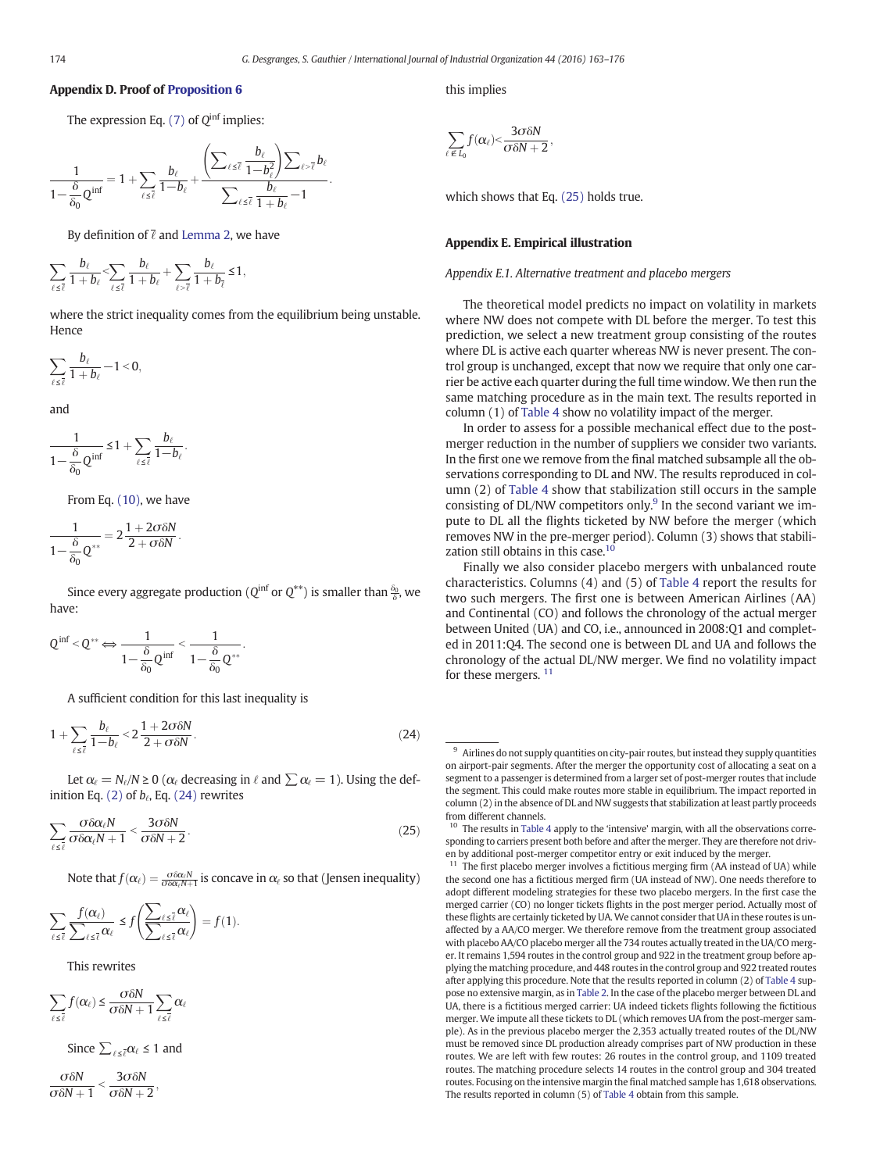# Appendix D. Proof of [Proposition 6](#page-4-0)

The expression Eq.  $(7)$  of  $Q^{\text{inf}}$  implies:

$$
\frac{1}{1-\frac{\delta}{\delta_0}Q^{\inf}} = 1 + \sum_{\ell \leq \overline{\ell}} \frac{b_{\ell}}{1-b_{\ell}} + \frac{\left(\sum_{\ell \leq \overline{\ell}} \frac{b_{\ell}}{1-b_{\ell}^2}\right) \sum_{\ell > \overline{\ell}} b_{\ell}}{\sum_{\ell \leq \overline{\ell}} \frac{b_{\ell}}{1+b_{\ell}} - 1}.
$$

By definition of  $\overline{\ell}$  and [Lemma 2,](#page-2-0) we have

$$
\sum_{\ell \leq \overline{\ell}} \frac{b_{\ell}}{1+b_{\ell}} < \sum_{\ell \leq \overline{\ell}} \frac{b_{\ell}}{1+b_{\ell}} + \sum_{\ell > \overline{\ell}} \frac{b_{\ell}}{1+b_{\overline{\ell}}} \leq 1,
$$

where the strict inequality comes from the equilibrium being unstable. Hence

$$
\sum_{\ell\leq \overline{\ell}}\frac{b_\ell}{1+b_\ell}-1<0,
$$

and

$$
\frac{1}{1\!-\!\frac{\delta}{\delta_0}Q^{\inf}}\!\leq\! 1+\sum_{\ell\leq\bar\ell}\frac{b_\ell}{1\!-\!b_\ell}.
$$

From Eq. [\(10\),](#page-3-0) we have

$$
\frac{1}{1-\frac{\delta}{\delta_0}Q^{**}}=2\frac{1+2\sigma\delta N}{2+\sigma\delta N}.
$$

Since every aggregate production ( $Q^{\inf}$  or  $Q^{**}$ ) is smaller than  $\frac{\delta_0}{\delta}$ , we have:

$$
Q^{inf} < Q^{**} \Longleftrightarrow \frac{1}{1-\frac{\delta}{\delta_0}Q^{inf}} < \frac{1}{1-\frac{\delta}{\delta_0}Q^{**}}.
$$

A sufficient condition for this last inequality is

$$
1 + \sum_{\ell \leq \overline{\ell}} \frac{b_{\ell}}{1 - b_{\ell}} < 2 \frac{1 + 2\sigma \delta N}{2 + \sigma \delta N}.\tag{24}
$$

Let  $\alpha_{\ell} = N_{\ell}/N \ge 0$  ( $\alpha_{\ell}$  decreasing in  $\ell$  and  $\sum \alpha_{\ell} = 1$ ). Using the def-inition Eq. [\(2\)](#page-1-0) of  $b_{\ell}$ , Eq. (24) rewrites

$$
\sum_{\ell \leq \tilde{\ell}} \frac{\sigma \delta \alpha_{\ell} N}{\sigma \delta \alpha_{\ell} N + 1} < \frac{3 \sigma \delta N}{\sigma \delta N + 2}.
$$
\n(25)

Note that  $f(\alpha_\ell) = \frac{\sigma \delta \alpha_\ell N}{\sigma \delta \alpha_\ell N + 1}$  is concave in  $\alpha_\ell$  so that (Jensen inequality)

$$
\sum_{\ell \leq \overline{\ell}} \frac{f(\alpha_{\ell})}{\sum_{\ell \leq \overline{\ell}} \alpha_{\ell}} \leq f\left(\frac{\sum_{\ell \leq \overline{\ell}} \alpha_{\ell}}{\sum_{\ell \leq \overline{\ell}} \alpha_{\ell}}\right) = f(1).
$$

This rewrites

$$
\sum_{\ell \leq \overline{\ell}} f(\alpha_{\ell}) \leq \frac{\sigma \delta N}{\sigma \delta N + 1} \sum_{\ell \leq \overline{\ell}} \alpha_{\ell}
$$

Since  $\sum_{\ell \leq \overline{\ell}} \alpha_{\ell} \leq 1$  and

 $\frac{\sigma \delta N}{\sigma \delta N+1} < \frac{3\sigma \delta N}{\sigma \delta N+2},$ 

this implies

$$
\sum_{\ell \, \in \, L_0} \!\! f(\alpha_\ell) {<} \frac{3 \sigma \delta N}{\sigma \delta N + 2},
$$

which shows that Eq. (25) holds true.

# Appendix E. Empirical illustration

# Appendix E.1. Alternative treatment and placebo mergers

The theoretical model predicts no impact on volatility in markets where NW does not compete with DL before the merger. To test this prediction, we select a new treatment group consisting of the routes where DL is active each quarter whereas NW is never present. The control group is unchanged, except that now we require that only one carrier be active each quarter during the full time window. We then run the same matching procedure as in the main text. The results reported in column (1) of [Table 4](#page-12-0) show no volatility impact of the merger.

In order to assess for a possible mechanical effect due to the postmerger reduction in the number of suppliers we consider two variants. In the first one we remove from the final matched subsample all the observations corresponding to DL and NW. The results reproduced in column (2) of [Table 4](#page-12-0) show that stabilization still occurs in the sample consisting of DL/NW competitors only.<sup>9</sup> In the second variant we impute to DL all the flights ticketed by NW before the merger (which removes NW in the pre-merger period). Column (3) shows that stabilization still obtains in this case. $10$ 

Finally we also consider placebo mergers with unbalanced route characteristics. Columns (4) and (5) of [Table 4](#page-12-0) report the results for two such mergers. The first one is between American Airlines (AA) and Continental (CO) and follows the chronology of the actual merger between United (UA) and CO, i.e., announced in 2008:Q1 and completed in 2011:Q4. The second one is between DL and UA and follows the chronology of the actual DL/NW merger. We find no volatility impact for these mergers.<sup>11</sup>

 $9\;$  Airlines do not supply quantities on city-pair routes, but instead they supply quantities on airport-pair segments. After the merger the opportunity cost of allocating a seat on a segment to a passenger is determined from a larger set of post-merger routes that include the segment. This could make routes more stable in equilibrium. The impact reported in column (2) in the absence of DL and NW suggests that stabilization at least partly proceeds from different channels.

 $10$  The results in [Table 4](#page-12-0) apply to the 'intensive' margin, with all the observations corresponding to carriers present both before and after the merger. They are therefore not driven by additional post-merger competitor entry or exit induced by the merger.

 $11$  The first placebo merger involves a fictitious merging firm (AA instead of UA) while the second one has a fictitious merged firm (UA instead of NW). One needs therefore to adopt different modeling strategies for these two placebo mergers. In the first case the merged carrier (CO) no longer tickets flights in the post merger period. Actually most of these flights are certainly ticketed by UA. We cannot consider that UA in these routes is unaffected by a AA/CO merger. We therefore remove from the treatment group associated with placebo AA/CO placebo merger all the 734 routes actually treated in the UA/CO merger. It remains 1,594 routes in the control group and 922 in the treatment group before applying the matching procedure, and 448 routes in the control group and 922 treated routes after applying this procedure. Note that the results reported in column (2) of [Table 4](#page-12-0) suppose no extensive margin, as in [Table 2.](#page-7-0) In the case of the placebo merger between DL and UA, there is a fictitious merged carrier: UA indeed tickets flights following the fictitious merger. We impute all these tickets to DL (which removes UA from the post-merger sample). As in the previous placebo merger the 2,353 actually treated routes of the DL/NW must be removed since DL production already comprises part of NW production in these routes. We are left with few routes: 26 routes in the control group, and 1109 treated routes. The matching procedure selects 14 routes in the control group and 304 treated routes. Focusing on the intensive margin the final matched sample has 1,618 observations. The results reported in column (5) of [Table 4](#page-12-0) obtain from this sample.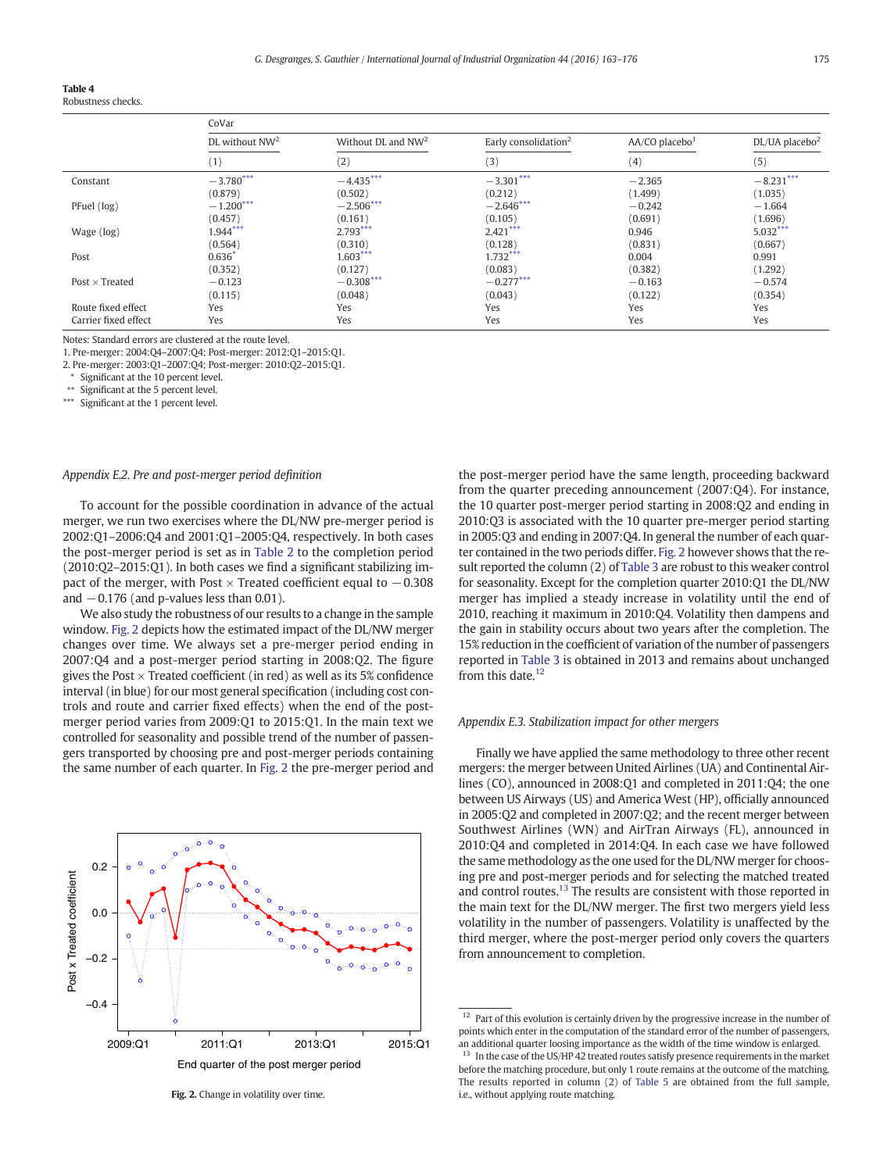<span id="page-12-0"></span>Robustness checks.

|                       | CoVar                      |                                |                                  |                              |                            |  |
|-----------------------|----------------------------|--------------------------------|----------------------------------|------------------------------|----------------------------|--|
|                       | DL without NW <sup>2</sup> | Without DL and NW <sup>2</sup> | Early consolidation <sup>2</sup> | $AA/CO$ placebo <sup>1</sup> | DL/UA placebo <sup>2</sup> |  |
|                       | $\left(1\right)$           | (2)                            | (3)                              | (4)                          | (5)                        |  |
| Constant              | $-3.780***$                | $-4.435***$                    | $-3.301***$                      | $-2.365$                     | $-8.231***$                |  |
|                       | (0.879)                    | (0.502)                        | (0.212)                          | (1.499)                      | (1.035)                    |  |
| PFuel (log)           | $-1.200***$                | $-2.506***$                    | $-2.646***$                      | $-0.242$                     | $-1.664$                   |  |
|                       | (0.457)                    | (0.161)                        | (0.105)                          | (0.691)                      | (1.696)                    |  |
| Wage (log)            | $1.944***$                 | $2.793***$                     | $2.421***$                       | 0.946                        | $5.032***$                 |  |
|                       | (0.564)                    | (0.310)                        | (0.128)                          | (0.831)                      | (0.667)                    |  |
| Post                  | $0.636*$                   | $1.603***$                     | $1.732***$                       | 0.004                        | 0.991                      |  |
|                       | (0.352)                    | (0.127)                        | (0.083)                          | (0.382)                      | (1.292)                    |  |
| Post $\times$ Treated | $-0.123$                   | $-0.308***$                    | $-0.277***$                      | $-0.163$                     | $-0.574$                   |  |
|                       | (0.115)                    | (0.048)                        | (0.043)                          | (0.122)                      | (0.354)                    |  |
| Route fixed effect    | Yes                        | Yes                            | Yes                              | Yes                          | Yes                        |  |
| Carrier fixed effect  | Yes                        | Yes                            | Yes                              | Yes                          | Yes                        |  |

Notes: Standard errors are clustered at the route level.

1. Pre-merger: 2004:Q4–2007:Q4; Post-merger: 2012:Q1–2015:Q1.

2. Pre-merger: 2003:Q1–2007:Q4; Post-merger: 2010:Q2–2015:Q1.

Significant at the 10 percent level.

Significant at the 5 percent level.

\*\*\* Significant at the 1 percent level.

Appendix E.2. Pre and post-merger period definition

To account for the possible coordination in advance of the actual merger, we run two exercises where the DL/NW pre-merger period is 2002:Q1–2006:Q4 and 2001:Q1–2005:Q4, respectively. In both cases the post-merger period is set as in [Table 2](#page-7-0) to the completion period (2010:Q2–2015:Q1). In both cases we find a significant stabilizing impact of the merger, with Post  $\times$  Treated coefficient equal to  $-0.308$ and  $-0.176$  (and p-values less than 0.01).

We also study the robustness of our results to a change in the sample window. Fig. 2 depicts how the estimated impact of the DL/NW merger changes over time. We always set a pre-merger period ending in 2007:Q4 and a post-merger period starting in 2008:Q2. The figure gives the Post  $\times$  Treated coefficient (in red) as well as its 5% confidence interval (in blue) for our most general specification (including cost controls and route and carrier fixed effects) when the end of the postmerger period varies from 2009:Q1 to 2015:Q1. In the main text we controlled for seasonality and possible trend of the number of passengers transported by choosing pre and post-merger periods containing the same number of each quarter. In Fig. 2 the pre-merger period and



Fig. 2. Change in volatility over time.

the post-merger period have the same length, proceeding backward from the quarter preceding announcement (2007:Q4). For instance, the 10 quarter post-merger period starting in 2008:Q2 and ending in 2010:Q3 is associated with the 10 quarter pre-merger period starting in 2005:Q3 and ending in 2007:Q4. In general the number of each quarter contained in the two periods differ. Fig. 2 however shows that the result reported the column (2) of [Table 3](#page-8-0) are robust to this weaker control for seasonality. Except for the completion quarter 2010:Q1 the DL/NW merger has implied a steady increase in volatility until the end of 2010, reaching it maximum in 2010:Q4. Volatility then dampens and the gain in stability occurs about two years after the completion. The 15% reduction in the coefficient of variation of the number of passengers reported in [Table 3](#page-8-0) is obtained in 2013 and remains about unchanged from this date. $12$ 

# Appendix E.3. Stabilization impact for other mergers

Finally we have applied the same methodology to three other recent mergers: the merger between United Airlines (UA) and Continental Airlines (CO), announced in 2008:Q1 and completed in 2011:Q4; the one between US Airways (US) and America West (HP), officially announced in 2005:Q2 and completed in 2007:Q2; and the recent merger between Southwest Airlines (WN) and AirTran Airways (FL), announced in 2010:Q4 and completed in 2014:Q4. In each case we have followed the same methodology as the one used for the DL/NW merger for choosing pre and post-merger periods and for selecting the matched treated and control routes.<sup>13</sup> The results are consistent with those reported in the main text for the DL/NW merger. The first two mergers yield less volatility in the number of passengers. Volatility is unaffected by the third merger, where the post-merger period only covers the quarters from announcement to completion.

 $^{12}\,$  Part of this evolution is certainly driven by the progressive increase in the number of points which enter in the computation of the standard error of the number of passengers, an additional quarter loosing importance as the width of the time window is enlarged. <sup>13</sup> In the case of the US/HP 42 treated routes satisfy presence requirements in the market before the matching procedure, but only 1 route remains at the outcome of the matching.

The results reported in column (2) of [Table 5](#page-13-0) are obtained from the full sample, i.e., without applying route matching.